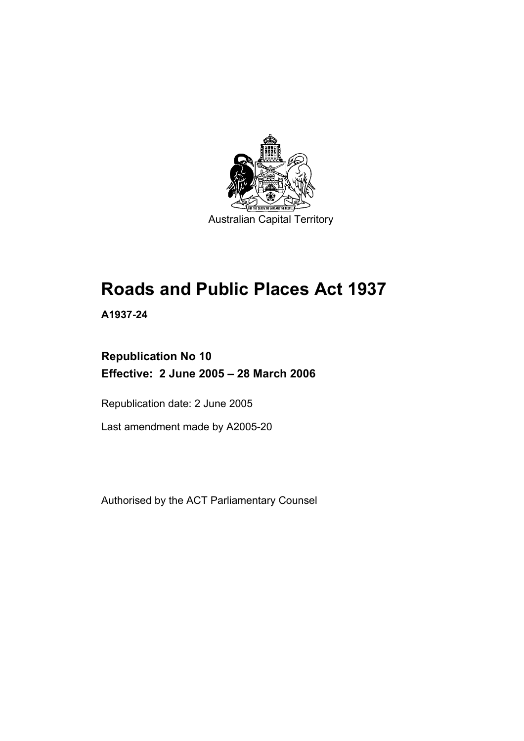

# **Roads and Public Places Act 1937**

**A1937-24** 

# **Republication No 10 Effective: 2 June 2005 – 28 March 2006**

Republication date: 2 June 2005

Last amendment made by A2005-20

Authorised by the ACT Parliamentary Counsel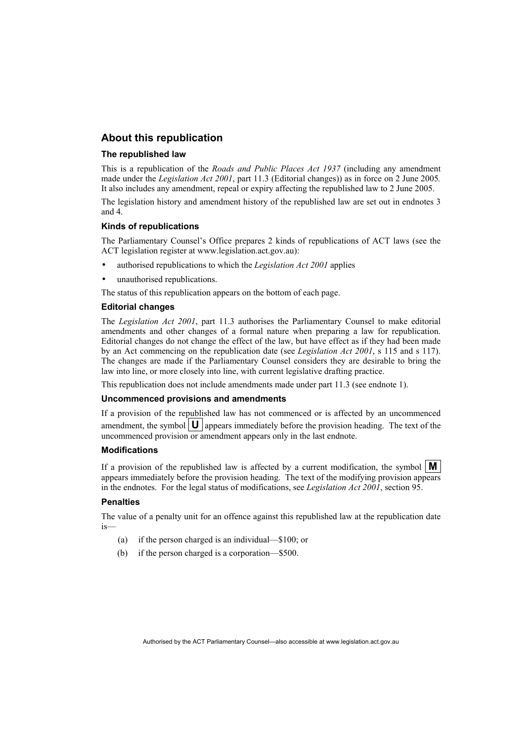## **About this republication**

#### **The republished law**

This is a republication of the *Roads and Public Places Act 1937* (including any amendment made under the *Legislation Act 2001*, part 11.3 (Editorial changes)) as in force on 2 June 2005*.*  It also includes any amendment, repeal or expiry affecting the republished law to 2 June 2005.

The legislation history and amendment history of the republished law are set out in endnotes 3 and 4.

#### **Kinds of republications**

The Parliamentary Counsel's Office prepares 2 kinds of republications of ACT laws (see the ACT legislation register at www.legislation.act.gov.au):

- authorised republications to which the *Legislation Act 2001* applies
- unauthorised republications.

The status of this republication appears on the bottom of each page.

#### **Editorial changes**

The *Legislation Act 2001*, part 11.3 authorises the Parliamentary Counsel to make editorial amendments and other changes of a formal nature when preparing a law for republication. Editorial changes do not change the effect of the law, but have effect as if they had been made by an Act commencing on the republication date (see *Legislation Act 2001*, s 115 and s 117). The changes are made if the Parliamentary Counsel considers they are desirable to bring the law into line, or more closely into line, with current legislative drafting practice.

This republication does not include amendments made under part 11.3 (see endnote 1).

#### **Uncommenced provisions and amendments**

If a provision of the republished law has not commenced or is affected by an uncommenced amendment, the symbol  $\vert \mathbf{U} \vert$  appears immediately before the provision heading. The text of the uncommenced provision or amendment appears only in the last endnote.

#### **Modifications**

If a provision of the republished law is affected by a current modification, the symbol  $\mathbf{M}$ appears immediately before the provision heading. The text of the modifying provision appears in the endnotes. For the legal status of modifications, see *Legislation Act 2001*, section 95.

#### **Penalties**

The value of a penalty unit for an offence against this republished law at the republication date is—

- (a) if the person charged is an individual—\$100; or
- (b) if the person charged is a corporation—\$500.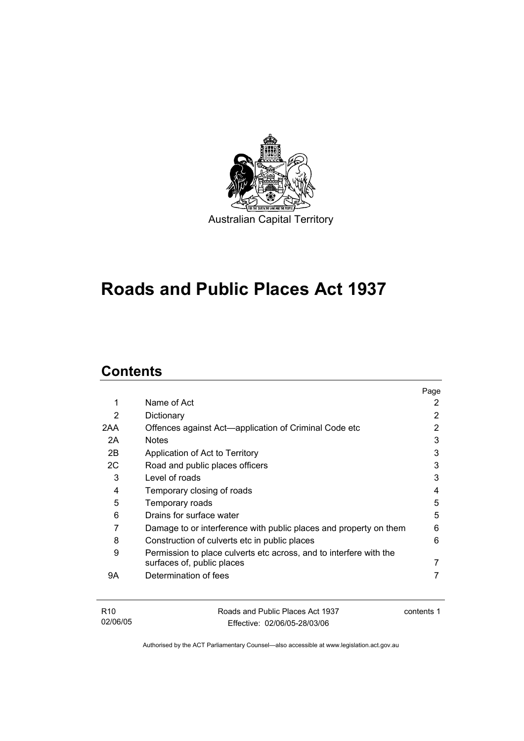

# **Roads and Public Places Act 1937**

# **Contents**

|     |                                                                    | Page |
|-----|--------------------------------------------------------------------|------|
| 1   | Name of Act                                                        | 2    |
| 2   | Dictionary                                                         | 2    |
| 2AA | Offences against Act—application of Criminal Code etc              | 2    |
| 2A  | <b>Notes</b>                                                       | 3    |
| 2B  | Application of Act to Territory                                    | 3    |
| 2C  | Road and public places officers                                    | 3    |
| 3   | Level of roads                                                     | 3    |
| 4   | Temporary closing of roads                                         | 4    |
| 5   | Temporary roads                                                    | 5    |
| 6   | Drains for surface water                                           | 5    |
| 7   | Damage to or interference with public places and property on them  | 6    |
| 8   | Construction of culverts etc in public places                      | 6    |
| 9   | Permission to place culverts etc across, and to interfere with the |      |
|     | surfaces of, public places                                         |      |
| 9Α  | Determination of fees                                              |      |
|     |                                                                    |      |
|     |                                                                    |      |

| R10      | Roads and Public Places Act 1937 | contents 1 |
|----------|----------------------------------|------------|
| 02/06/05 | Effective: 02/06/05-28/03/06     |            |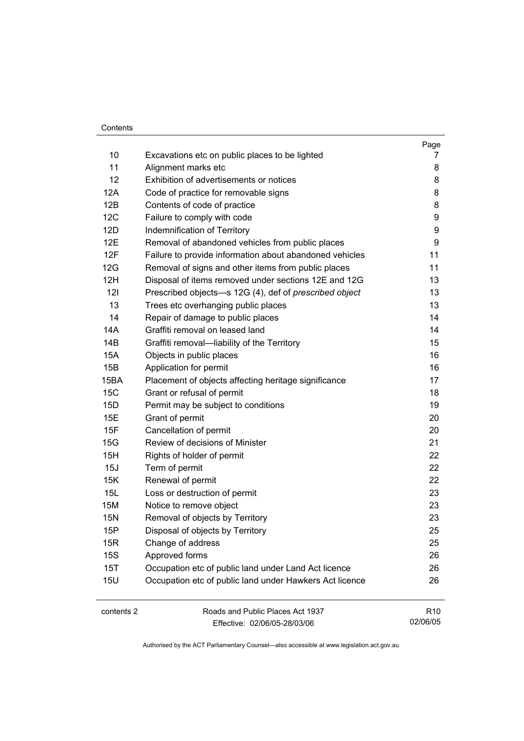#### Contents

| 10<br>Excavations etc on public places to be lighted<br>11<br>Alignment marks etc<br>12<br>Exhibition of advertisements or notices<br>12A<br>Code of practice for removable signs<br>12B<br>Contents of code of practice<br>12C<br>Failure to comply with code<br>12D<br>Indemnification of Territory<br>12E<br>Removal of abandoned vehicles from public places<br>12F<br>11<br>Failure to provide information about abandoned vehicles<br>11<br>12G<br>Removal of signs and other items from public places<br>12H<br>Disposal of items removed under sections 12E and 12G<br>121<br>Prescribed objects-s 12G (4), def of prescribed object<br>13<br>Trees etc overhanging public places<br>14<br>Repair of damage to public places<br>Graffiti removal on leased land<br>14A<br>14B<br>Graffiti removal-liability of the Territory<br><b>15A</b><br>Objects in public places<br>15B<br>Application for permit<br>15BA<br>Placement of objects affecting heritage significance<br>15C<br>Grant or refusal of permit<br>15D<br>Permit may be subject to conditions<br>15E<br>Grant of permit<br>15F<br>Cancellation of permit<br>Review of decisions of Minister<br>15G<br>15H<br>Rights of holder of permit<br>15J<br>Term of permit<br>15K<br>Renewal of permit<br>15L<br>Loss or destruction of permit<br>15M<br>Notice to remove object<br>Removal of objects by Territory<br><b>15N</b><br>15P<br>Disposal of objects by Territory<br>15R<br>Change of address<br><b>15S</b><br>Approved forms<br>15T<br>Occupation etc of public land under Land Act licence<br><b>15U</b><br>Occupation etc of public land under Hawkers Act licence<br>contents 2<br>Roads and Public Places Act 1937 |  | Page            |
|-----------------------------------------------------------------------------------------------------------------------------------------------------------------------------------------------------------------------------------------------------------------------------------------------------------------------------------------------------------------------------------------------------------------------------------------------------------------------------------------------------------------------------------------------------------------------------------------------------------------------------------------------------------------------------------------------------------------------------------------------------------------------------------------------------------------------------------------------------------------------------------------------------------------------------------------------------------------------------------------------------------------------------------------------------------------------------------------------------------------------------------------------------------------------------------------------------------------------------------------------------------------------------------------------------------------------------------------------------------------------------------------------------------------------------------------------------------------------------------------------------------------------------------------------------------------------------------------------------------------------------------------------------------------------------------------------|--|-----------------|
|                                                                                                                                                                                                                                                                                                                                                                                                                                                                                                                                                                                                                                                                                                                                                                                                                                                                                                                                                                                                                                                                                                                                                                                                                                                                                                                                                                                                                                                                                                                                                                                                                                                                                               |  | 7               |
|                                                                                                                                                                                                                                                                                                                                                                                                                                                                                                                                                                                                                                                                                                                                                                                                                                                                                                                                                                                                                                                                                                                                                                                                                                                                                                                                                                                                                                                                                                                                                                                                                                                                                               |  | 8               |
|                                                                                                                                                                                                                                                                                                                                                                                                                                                                                                                                                                                                                                                                                                                                                                                                                                                                                                                                                                                                                                                                                                                                                                                                                                                                                                                                                                                                                                                                                                                                                                                                                                                                                               |  | 8               |
|                                                                                                                                                                                                                                                                                                                                                                                                                                                                                                                                                                                                                                                                                                                                                                                                                                                                                                                                                                                                                                                                                                                                                                                                                                                                                                                                                                                                                                                                                                                                                                                                                                                                                               |  | 8               |
|                                                                                                                                                                                                                                                                                                                                                                                                                                                                                                                                                                                                                                                                                                                                                                                                                                                                                                                                                                                                                                                                                                                                                                                                                                                                                                                                                                                                                                                                                                                                                                                                                                                                                               |  | 8               |
|                                                                                                                                                                                                                                                                                                                                                                                                                                                                                                                                                                                                                                                                                                                                                                                                                                                                                                                                                                                                                                                                                                                                                                                                                                                                                                                                                                                                                                                                                                                                                                                                                                                                                               |  | 9               |
|                                                                                                                                                                                                                                                                                                                                                                                                                                                                                                                                                                                                                                                                                                                                                                                                                                                                                                                                                                                                                                                                                                                                                                                                                                                                                                                                                                                                                                                                                                                                                                                                                                                                                               |  | 9               |
|                                                                                                                                                                                                                                                                                                                                                                                                                                                                                                                                                                                                                                                                                                                                                                                                                                                                                                                                                                                                                                                                                                                                                                                                                                                                                                                                                                                                                                                                                                                                                                                                                                                                                               |  | 9               |
|                                                                                                                                                                                                                                                                                                                                                                                                                                                                                                                                                                                                                                                                                                                                                                                                                                                                                                                                                                                                                                                                                                                                                                                                                                                                                                                                                                                                                                                                                                                                                                                                                                                                                               |  |                 |
|                                                                                                                                                                                                                                                                                                                                                                                                                                                                                                                                                                                                                                                                                                                                                                                                                                                                                                                                                                                                                                                                                                                                                                                                                                                                                                                                                                                                                                                                                                                                                                                                                                                                                               |  |                 |
|                                                                                                                                                                                                                                                                                                                                                                                                                                                                                                                                                                                                                                                                                                                                                                                                                                                                                                                                                                                                                                                                                                                                                                                                                                                                                                                                                                                                                                                                                                                                                                                                                                                                                               |  | 13              |
|                                                                                                                                                                                                                                                                                                                                                                                                                                                                                                                                                                                                                                                                                                                                                                                                                                                                                                                                                                                                                                                                                                                                                                                                                                                                                                                                                                                                                                                                                                                                                                                                                                                                                               |  | 13              |
|                                                                                                                                                                                                                                                                                                                                                                                                                                                                                                                                                                                                                                                                                                                                                                                                                                                                                                                                                                                                                                                                                                                                                                                                                                                                                                                                                                                                                                                                                                                                                                                                                                                                                               |  | 13              |
|                                                                                                                                                                                                                                                                                                                                                                                                                                                                                                                                                                                                                                                                                                                                                                                                                                                                                                                                                                                                                                                                                                                                                                                                                                                                                                                                                                                                                                                                                                                                                                                                                                                                                               |  | 14              |
|                                                                                                                                                                                                                                                                                                                                                                                                                                                                                                                                                                                                                                                                                                                                                                                                                                                                                                                                                                                                                                                                                                                                                                                                                                                                                                                                                                                                                                                                                                                                                                                                                                                                                               |  | 14              |
|                                                                                                                                                                                                                                                                                                                                                                                                                                                                                                                                                                                                                                                                                                                                                                                                                                                                                                                                                                                                                                                                                                                                                                                                                                                                                                                                                                                                                                                                                                                                                                                                                                                                                               |  | 15              |
|                                                                                                                                                                                                                                                                                                                                                                                                                                                                                                                                                                                                                                                                                                                                                                                                                                                                                                                                                                                                                                                                                                                                                                                                                                                                                                                                                                                                                                                                                                                                                                                                                                                                                               |  | 16              |
|                                                                                                                                                                                                                                                                                                                                                                                                                                                                                                                                                                                                                                                                                                                                                                                                                                                                                                                                                                                                                                                                                                                                                                                                                                                                                                                                                                                                                                                                                                                                                                                                                                                                                               |  | 16              |
|                                                                                                                                                                                                                                                                                                                                                                                                                                                                                                                                                                                                                                                                                                                                                                                                                                                                                                                                                                                                                                                                                                                                                                                                                                                                                                                                                                                                                                                                                                                                                                                                                                                                                               |  | 17              |
|                                                                                                                                                                                                                                                                                                                                                                                                                                                                                                                                                                                                                                                                                                                                                                                                                                                                                                                                                                                                                                                                                                                                                                                                                                                                                                                                                                                                                                                                                                                                                                                                                                                                                               |  | 18              |
|                                                                                                                                                                                                                                                                                                                                                                                                                                                                                                                                                                                                                                                                                                                                                                                                                                                                                                                                                                                                                                                                                                                                                                                                                                                                                                                                                                                                                                                                                                                                                                                                                                                                                               |  | 19              |
|                                                                                                                                                                                                                                                                                                                                                                                                                                                                                                                                                                                                                                                                                                                                                                                                                                                                                                                                                                                                                                                                                                                                                                                                                                                                                                                                                                                                                                                                                                                                                                                                                                                                                               |  | 20              |
|                                                                                                                                                                                                                                                                                                                                                                                                                                                                                                                                                                                                                                                                                                                                                                                                                                                                                                                                                                                                                                                                                                                                                                                                                                                                                                                                                                                                                                                                                                                                                                                                                                                                                               |  | 20              |
|                                                                                                                                                                                                                                                                                                                                                                                                                                                                                                                                                                                                                                                                                                                                                                                                                                                                                                                                                                                                                                                                                                                                                                                                                                                                                                                                                                                                                                                                                                                                                                                                                                                                                               |  | 21              |
|                                                                                                                                                                                                                                                                                                                                                                                                                                                                                                                                                                                                                                                                                                                                                                                                                                                                                                                                                                                                                                                                                                                                                                                                                                                                                                                                                                                                                                                                                                                                                                                                                                                                                               |  | 22              |
|                                                                                                                                                                                                                                                                                                                                                                                                                                                                                                                                                                                                                                                                                                                                                                                                                                                                                                                                                                                                                                                                                                                                                                                                                                                                                                                                                                                                                                                                                                                                                                                                                                                                                               |  | 22              |
|                                                                                                                                                                                                                                                                                                                                                                                                                                                                                                                                                                                                                                                                                                                                                                                                                                                                                                                                                                                                                                                                                                                                                                                                                                                                                                                                                                                                                                                                                                                                                                                                                                                                                               |  | 22              |
|                                                                                                                                                                                                                                                                                                                                                                                                                                                                                                                                                                                                                                                                                                                                                                                                                                                                                                                                                                                                                                                                                                                                                                                                                                                                                                                                                                                                                                                                                                                                                                                                                                                                                               |  | 23              |
|                                                                                                                                                                                                                                                                                                                                                                                                                                                                                                                                                                                                                                                                                                                                                                                                                                                                                                                                                                                                                                                                                                                                                                                                                                                                                                                                                                                                                                                                                                                                                                                                                                                                                               |  | 23              |
|                                                                                                                                                                                                                                                                                                                                                                                                                                                                                                                                                                                                                                                                                                                                                                                                                                                                                                                                                                                                                                                                                                                                                                                                                                                                                                                                                                                                                                                                                                                                                                                                                                                                                               |  | 23              |
|                                                                                                                                                                                                                                                                                                                                                                                                                                                                                                                                                                                                                                                                                                                                                                                                                                                                                                                                                                                                                                                                                                                                                                                                                                                                                                                                                                                                                                                                                                                                                                                                                                                                                               |  | 25              |
|                                                                                                                                                                                                                                                                                                                                                                                                                                                                                                                                                                                                                                                                                                                                                                                                                                                                                                                                                                                                                                                                                                                                                                                                                                                                                                                                                                                                                                                                                                                                                                                                                                                                                               |  | 25              |
|                                                                                                                                                                                                                                                                                                                                                                                                                                                                                                                                                                                                                                                                                                                                                                                                                                                                                                                                                                                                                                                                                                                                                                                                                                                                                                                                                                                                                                                                                                                                                                                                                                                                                               |  | 26              |
|                                                                                                                                                                                                                                                                                                                                                                                                                                                                                                                                                                                                                                                                                                                                                                                                                                                                                                                                                                                                                                                                                                                                                                                                                                                                                                                                                                                                                                                                                                                                                                                                                                                                                               |  | 26              |
|                                                                                                                                                                                                                                                                                                                                                                                                                                                                                                                                                                                                                                                                                                                                                                                                                                                                                                                                                                                                                                                                                                                                                                                                                                                                                                                                                                                                                                                                                                                                                                                                                                                                                               |  | 26              |
|                                                                                                                                                                                                                                                                                                                                                                                                                                                                                                                                                                                                                                                                                                                                                                                                                                                                                                                                                                                                                                                                                                                                                                                                                                                                                                                                                                                                                                                                                                                                                                                                                                                                                               |  | R <sub>10</sub> |

Effective: 02/06/05-28/03/06

02/06/05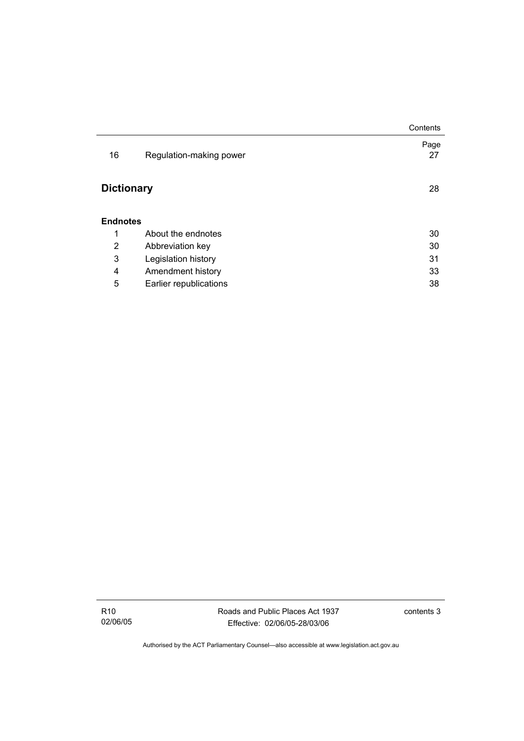|                   |                         | Contents   |
|-------------------|-------------------------|------------|
| 16                | Regulation-making power | Page<br>27 |
| <b>Dictionary</b> |                         | 28         |
| <b>Endnotes</b>   |                         |            |
| 1                 | About the endnotes      | 30         |
| 2                 | Abbreviation key        | 30         |
| 3                 | Legislation history     | 31         |
| 4                 | Amendment history       | 33         |
| 5                 | Earlier republications  | 38         |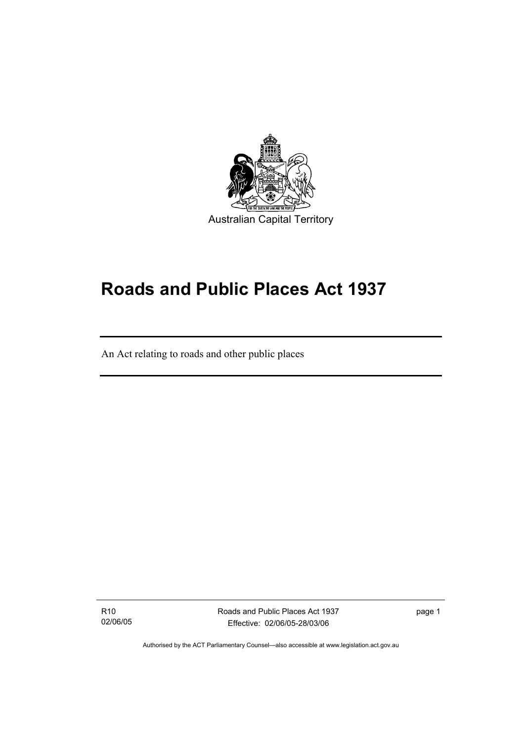

# **Roads and Public Places Act 1937**

An Act relating to roads and other public places

R10 02/06/05

I

Roads and Public Places Act 1937 Effective: 02/06/05-28/03/06

page 1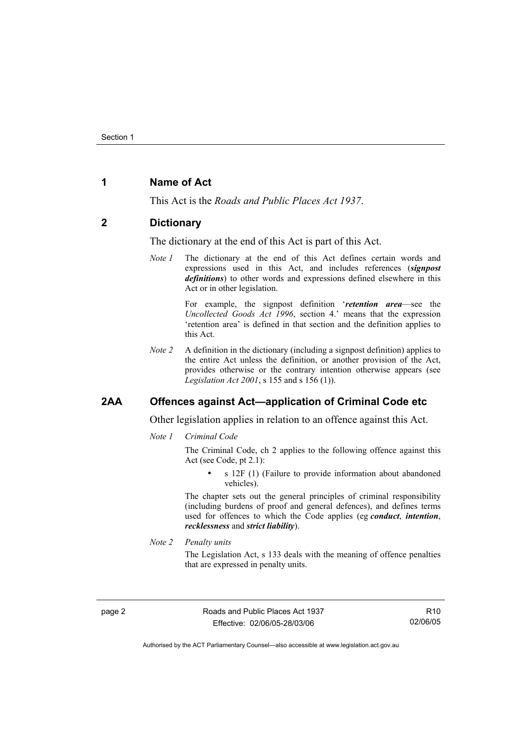## **1 Name of Act**

This Act is the *Roads and Public Places Act 1937*.

#### **2 Dictionary**

The dictionary at the end of this Act is part of this Act.

*Note 1* The dictionary at the end of this Act defines certain words and expressions used in this Act, and includes references (*signpost definitions*) to other words and expressions defined elsewhere in this Act or in other legislation.

> For example, the signpost definition '*retention area*—see the *Uncollected Goods Act 1996*, section 4.' means that the expression 'retention area' is defined in that section and the definition applies to this Act.

*Note 2* A definition in the dictionary (including a signpost definition) applies to the entire Act unless the definition, or another provision of the Act, provides otherwise or the contrary intention otherwise appears (see *Legislation Act 2001*, s 155 and s 156 (1)).

## **2AA Offences against Act—application of Criminal Code etc**

Other legislation applies in relation to an offence against this Act.

*Note 1 Criminal Code*

The Criminal Code, ch 2 applies to the following offence against this Act (see Code, pt 2.1):

s 12F (1) (Failure to provide information about abandoned vehicles).

The chapter sets out the general principles of criminal responsibility (including burdens of proof and general defences), and defines terms used for offences to which the Code applies (eg *conduct*, *intention*, *recklessness* and *strict liability*).

*Note 2 Penalty units* 

The Legislation Act, s 133 deals with the meaning of offence penalties that are expressed in penalty units.

page 2 Roads and Public Places Act 1937 Effective: 02/06/05-28/03/06

R10 02/06/05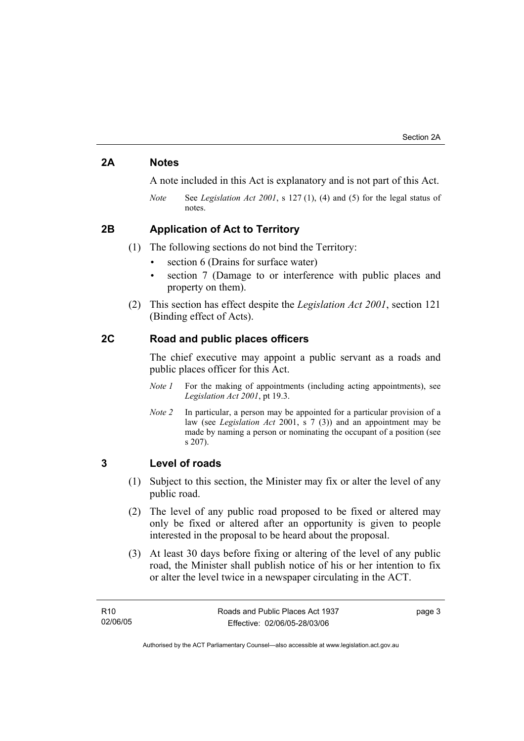## **2A Notes**

A note included in this Act is explanatory and is not part of this Act.

*Note* See *Legislation Act 2001*, s 127 (1), (4) and (5) for the legal status of notes.

## **2B Application of Act to Territory**

(1) The following sections do not bind the Territory:

- section 6 (Drains for surface water)
- section 7 (Damage to or interference with public places and property on them).
- (2) This section has effect despite the *Legislation Act 2001*, section 121 (Binding effect of Acts).

## **2C Road and public places officers**

The chief executive may appoint a public servant as a roads and public places officer for this Act.

- *Note 1* For the making of appointments (including acting appointments), see *Legislation Act 2001*, pt 19.3.
- *Note 2* In particular, a person may be appointed for a particular provision of a law (see *Legislation Act* 2001, s 7 (3)) and an appointment may be made by naming a person or nominating the occupant of a position (see s 207).

## **3 Level of roads**

- (1) Subject to this section, the Minister may fix or alter the level of any public road.
- (2) The level of any public road proposed to be fixed or altered may only be fixed or altered after an opportunity is given to people interested in the proposal to be heard about the proposal.
- (3) At least 30 days before fixing or altering of the level of any public road, the Minister shall publish notice of his or her intention to fix or alter the level twice in a newspaper circulating in the ACT.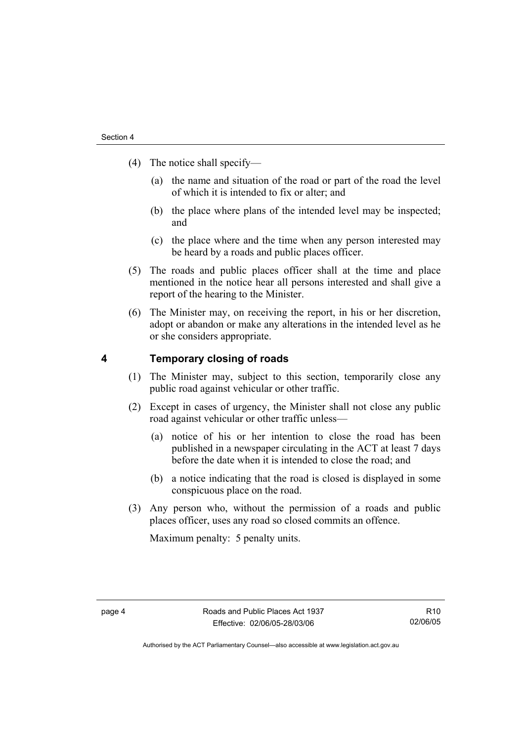- (4) The notice shall specify—
	- (a) the name and situation of the road or part of the road the level of which it is intended to fix or alter; and
	- (b) the place where plans of the intended level may be inspected; and
	- (c) the place where and the time when any person interested may be heard by a roads and public places officer.
- (5) The roads and public places officer shall at the time and place mentioned in the notice hear all persons interested and shall give a report of the hearing to the Minister.
- (6) The Minister may, on receiving the report, in his or her discretion, adopt or abandon or make any alterations in the intended level as he or she considers appropriate.

## **4 Temporary closing of roads**

- (1) The Minister may, subject to this section, temporarily close any public road against vehicular or other traffic.
- (2) Except in cases of urgency, the Minister shall not close any public road against vehicular or other traffic unless—
	- (a) notice of his or her intention to close the road has been published in a newspaper circulating in the ACT at least 7 days before the date when it is intended to close the road; and
	- (b) a notice indicating that the road is closed is displayed in some conspicuous place on the road.
- (3) Any person who, without the permission of a roads and public places officer, uses any road so closed commits an offence.

Maximum penalty: 5 penalty units.

R10 02/06/05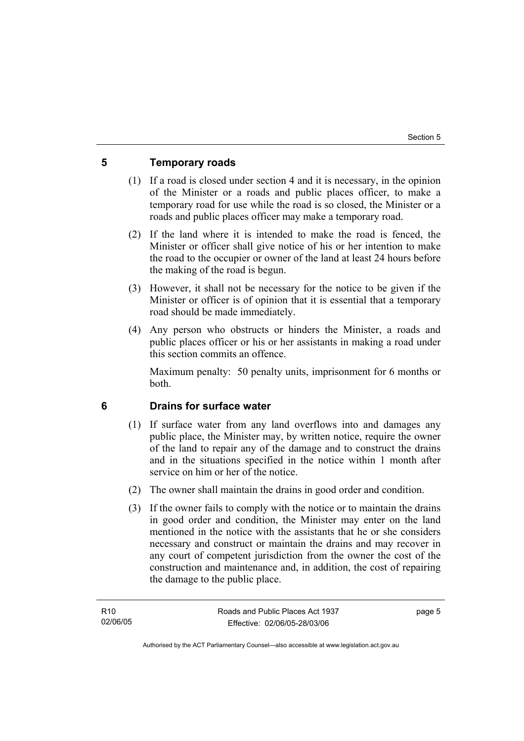## **5 Temporary roads**

- (1) If a road is closed under section 4 and it is necessary, in the opinion of the Minister or a roads and public places officer, to make a temporary road for use while the road is so closed, the Minister or a roads and public places officer may make a temporary road.
- (2) If the land where it is intended to make the road is fenced, the Minister or officer shall give notice of his or her intention to make the road to the occupier or owner of the land at least 24 hours before the making of the road is begun.
- (3) However, it shall not be necessary for the notice to be given if the Minister or officer is of opinion that it is essential that a temporary road should be made immediately.
- (4) Any person who obstructs or hinders the Minister, a roads and public places officer or his or her assistants in making a road under this section commits an offence.

Maximum penalty: 50 penalty units, imprisonment for 6 months or both.

## **6 Drains for surface water**

- (1) If surface water from any land overflows into and damages any public place, the Minister may, by written notice, require the owner of the land to repair any of the damage and to construct the drains and in the situations specified in the notice within 1 month after service on him or her of the notice.
- (2) The owner shall maintain the drains in good order and condition.
- (3) If the owner fails to comply with the notice or to maintain the drains in good order and condition, the Minister may enter on the land mentioned in the notice with the assistants that he or she considers necessary and construct or maintain the drains and may recover in any court of competent jurisdiction from the owner the cost of the construction and maintenance and, in addition, the cost of repairing the damage to the public place.

page 5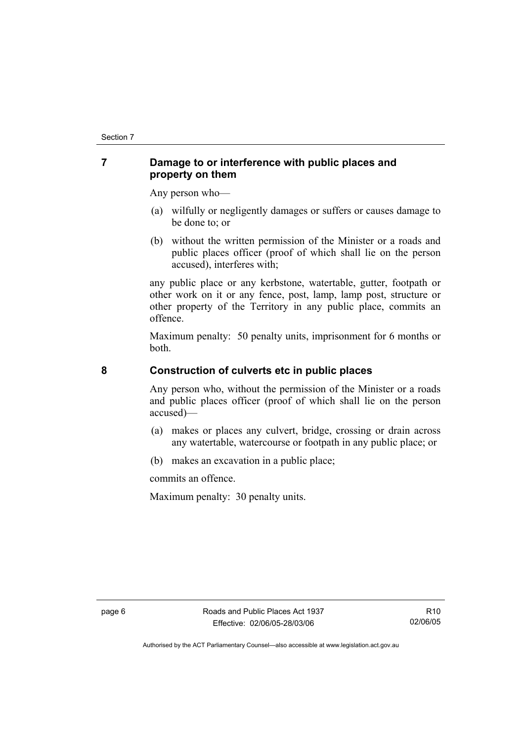## **7 Damage to or interference with public places and property on them**

Any person who—

- (a) wilfully or negligently damages or suffers or causes damage to be done to; or
- (b) without the written permission of the Minister or a roads and public places officer (proof of which shall lie on the person accused), interferes with;

any public place or any kerbstone, watertable, gutter, footpath or other work on it or any fence, post, lamp, lamp post, structure or other property of the Territory in any public place, commits an offence.

Maximum penalty: 50 penalty units, imprisonment for 6 months or both.

## **8 Construction of culverts etc in public places**

Any person who, without the permission of the Minister or a roads and public places officer (proof of which shall lie on the person accused)—

- (a) makes or places any culvert, bridge, crossing or drain across any watertable, watercourse or footpath in any public place; or
- (b) makes an excavation in a public place;

commits an offence.

Maximum penalty: 30 penalty units.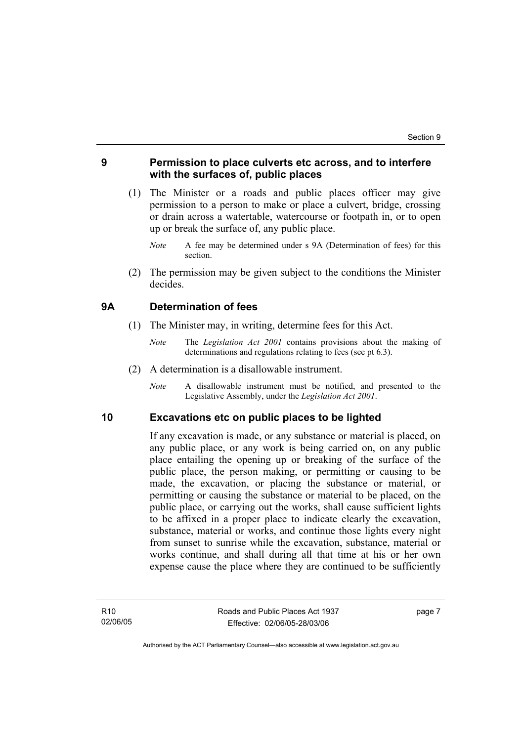## **9 Permission to place culverts etc across, and to interfere with the surfaces of, public places**

- (1) The Minister or a roads and public places officer may give permission to a person to make or place a culvert, bridge, crossing or drain across a watertable, watercourse or footpath in, or to open up or break the surface of, any public place.
	- *Note* A fee may be determined under s 9A (Determination of fees) for this section.
- (2) The permission may be given subject to the conditions the Minister decides.

#### **9A Determination of fees**

- (1) The Minister may, in writing, determine fees for this Act.
	- *Note* The *Legislation Act 2001* contains provisions about the making of determinations and regulations relating to fees (see pt 6.3).
- (2) A determination is a disallowable instrument.
	- *Note* A disallowable instrument must be notified, and presented to the Legislative Assembly, under the *Legislation Act 2001*.

#### **10 Excavations etc on public places to be lighted**

If any excavation is made, or any substance or material is placed, on any public place, or any work is being carried on, on any public place entailing the opening up or breaking of the surface of the public place, the person making, or permitting or causing to be made, the excavation, or placing the substance or material, or permitting or causing the substance or material to be placed, on the public place, or carrying out the works, shall cause sufficient lights to be affixed in a proper place to indicate clearly the excavation, substance, material or works, and continue those lights every night from sunset to sunrise while the excavation, substance, material or works continue, and shall during all that time at his or her own expense cause the place where they are continued to be sufficiently

page 7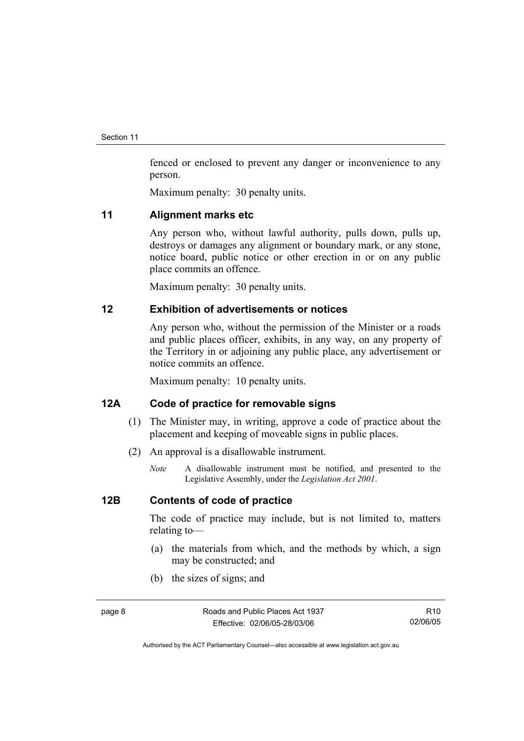fenced or enclosed to prevent any danger or inconvenience to any person.

Maximum penalty: 30 penalty units.

#### **11 Alignment marks etc**

Any person who, without lawful authority, pulls down, pulls up, destroys or damages any alignment or boundary mark, or any stone, notice board, public notice or other erection in or on any public place commits an offence.

Maximum penalty: 30 penalty units.

## **12 Exhibition of advertisements or notices**

Any person who, without the permission of the Minister or a roads and public places officer, exhibits, in any way, on any property of the Territory in or adjoining any public place, any advertisement or notice commits an offence.

Maximum penalty: 10 penalty units.

## **12A Code of practice for removable signs**

- (1) The Minister may, in writing, approve a code of practice about the placement and keeping of moveable signs in public places.
- (2) An approval is a disallowable instrument.
	- *Note* A disallowable instrument must be notified, and presented to the Legislative Assembly, under the *Legislation Act 2001*.

## **12B Contents of code of practice**

The code of practice may include, but is not limited to, matters relating to—

- (a) the materials from which, and the methods by which, a sign may be constructed; and
- (b) the sizes of signs; and

R10 02/06/05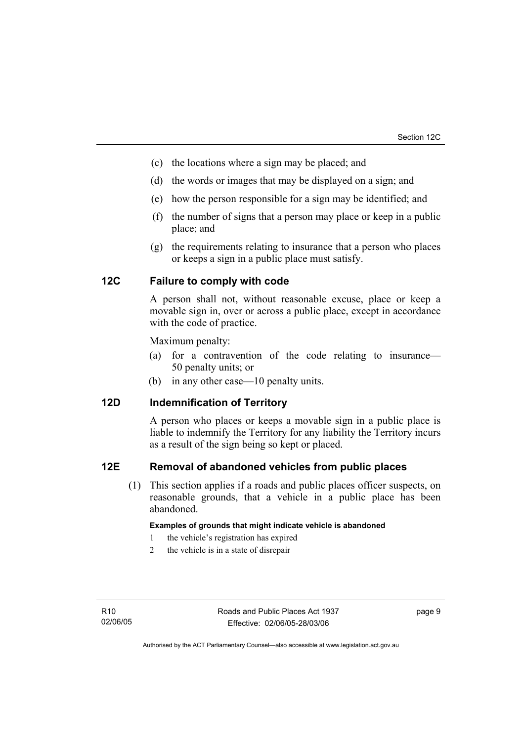- (c) the locations where a sign may be placed; and
- (d) the words or images that may be displayed on a sign; and
- (e) how the person responsible for a sign may be identified; and
- (f) the number of signs that a person may place or keep in a public place; and
- (g) the requirements relating to insurance that a person who places or keeps a sign in a public place must satisfy.

## **12C Failure to comply with code**

A person shall not, without reasonable excuse, place or keep a movable sign in, over or across a public place, except in accordance with the code of practice.

Maximum penalty:

- (a) for a contravention of the code relating to insurance— 50 penalty units; or
- (b) in any other case—10 penalty units.

## **12D Indemnification of Territory**

A person who places or keeps a movable sign in a public place is liable to indemnify the Territory for any liability the Territory incurs as a result of the sign being so kept or placed.

#### **12E Removal of abandoned vehicles from public places**

 (1) This section applies if a roads and public places officer suspects, on reasonable grounds, that a vehicle in a public place has been abandoned.

#### **Examples of grounds that might indicate vehicle is abandoned**

- 1 the vehicle's registration has expired
- 2 the vehicle is in a state of disrepair

page 9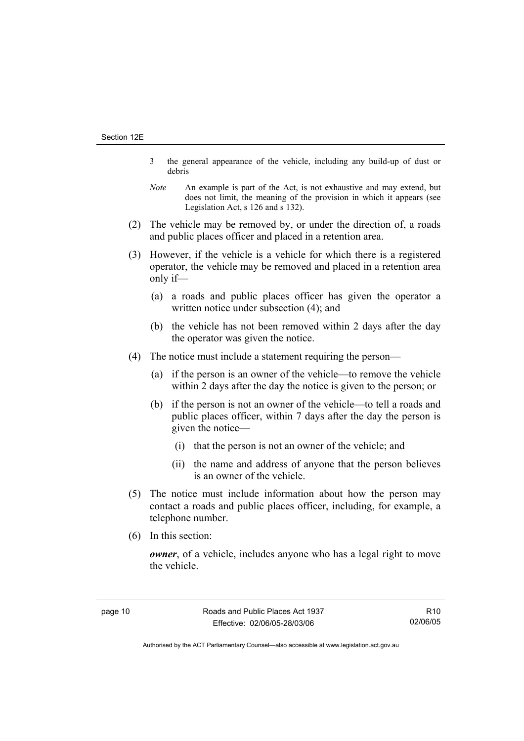- 3 the general appearance of the vehicle, including any build-up of dust or debris
- *Note* An example is part of the Act, is not exhaustive and may extend, but does not limit, the meaning of the provision in which it appears (see Legislation Act, s 126 and s 132).
- (2) The vehicle may be removed by, or under the direction of, a roads and public places officer and placed in a retention area.
- (3) However, if the vehicle is a vehicle for which there is a registered operator, the vehicle may be removed and placed in a retention area only if—
	- (a) a roads and public places officer has given the operator a written notice under subsection (4); and
	- (b) the vehicle has not been removed within 2 days after the day the operator was given the notice.
- (4) The notice must include a statement requiring the person—
	- (a) if the person is an owner of the vehicle—to remove the vehicle within 2 days after the day the notice is given to the person; or
	- (b) if the person is not an owner of the vehicle—to tell a roads and public places officer, within 7 days after the day the person is given the notice—
		- (i) that the person is not an owner of the vehicle; and
		- (ii) the name and address of anyone that the person believes is an owner of the vehicle.
- (5) The notice must include information about how the person may contact a roads and public places officer, including, for example, a telephone number.
- (6) In this section:

*owner*, of a vehicle, includes anyone who has a legal right to move the vehicle.

R10 02/06/05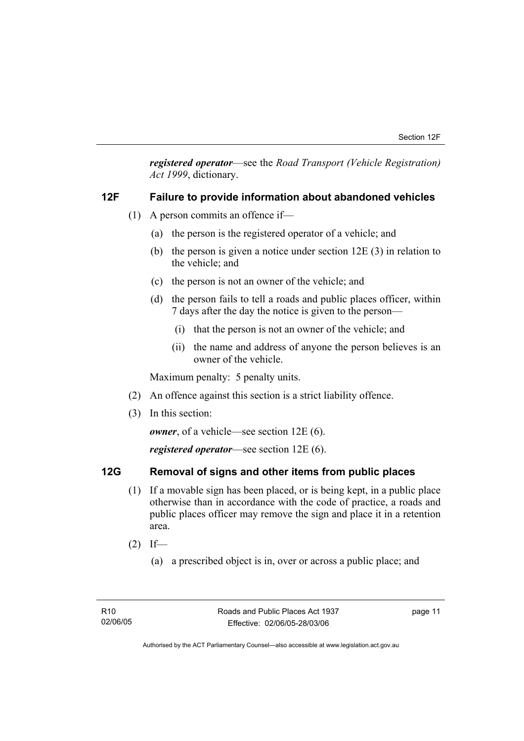*registered operator*—see the *Road Transport (Vehicle Registration) Act 1999*, dictionary.

## **12F Failure to provide information about abandoned vehicles**

- (1) A person commits an offence if—
	- (a) the person is the registered operator of a vehicle; and
	- (b) the person is given a notice under section 12E (3) in relation to the vehicle; and
	- (c) the person is not an owner of the vehicle; and
	- (d) the person fails to tell a roads and public places officer, within 7 days after the day the notice is given to the person—
		- (i) that the person is not an owner of the vehicle; and
		- (ii) the name and address of anyone the person believes is an owner of the vehicle.

Maximum penalty: 5 penalty units.

- (2) An offence against this section is a strict liability offence.
- (3) In this section:

*owner*, of a vehicle—see section 12E (6).

*registered operator*—see section 12E (6).

## **12G Removal of signs and other items from public places**

- (1) If a movable sign has been placed, or is being kept, in a public place otherwise than in accordance with the code of practice, a roads and public places officer may remove the sign and place it in a retention area.
- $(2)$  If—
	- (a) a prescribed object is in, over or across a public place; and

page 11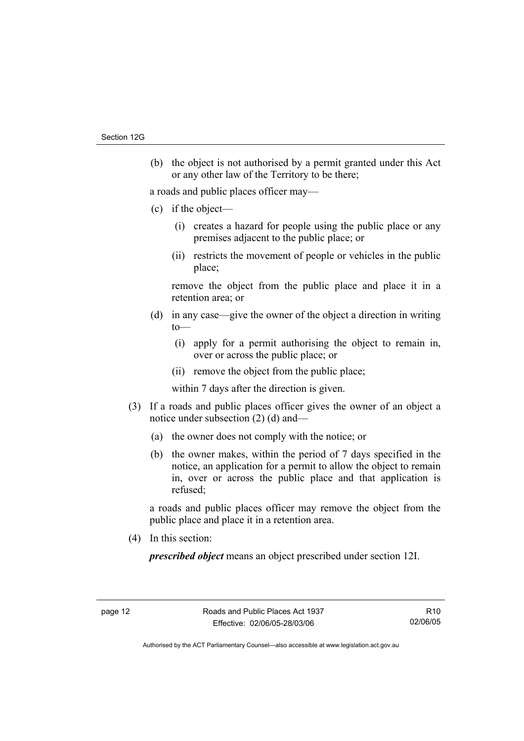(b) the object is not authorised by a permit granted under this Act or any other law of the Territory to be there;

a roads and public places officer may—

- (c) if the object—
	- (i) creates a hazard for people using the public place or any premises adjacent to the public place; or
	- (ii) restricts the movement of people or vehicles in the public place;

remove the object from the public place and place it in a retention area; or

- (d) in any case—give the owner of the object a direction in writing  $to$ —
	- (i) apply for a permit authorising the object to remain in, over or across the public place; or
	- (ii) remove the object from the public place;

within 7 days after the direction is given.

- (3) If a roads and public places officer gives the owner of an object a notice under subsection (2) (d) and—
	- (a) the owner does not comply with the notice; or
	- (b) the owner makes, within the period of 7 days specified in the notice, an application for a permit to allow the object to remain in, over or across the public place and that application is refused;

a roads and public places officer may remove the object from the public place and place it in a retention area.

(4) In this section:

*prescribed object* means an object prescribed under section 12I.

R10 02/06/05

Authorised by the ACT Parliamentary Counsel—also accessible at www.legislation.act.gov.au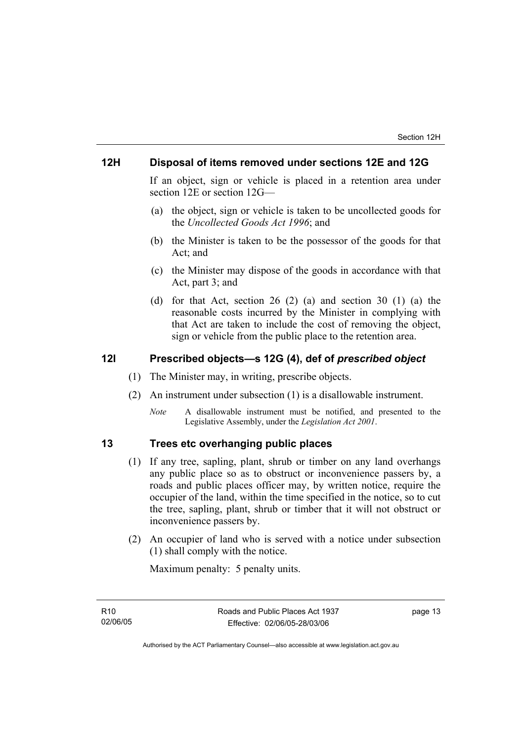## **12H Disposal of items removed under sections 12E and 12G**

If an object, sign or vehicle is placed in a retention area under section 12E or section 12G—

- (a) the object, sign or vehicle is taken to be uncollected goods for the *Uncollected Goods Act 1996*; and
- (b) the Minister is taken to be the possessor of the goods for that Act; and
- (c) the Minister may dispose of the goods in accordance with that Act, part 3; and
- (d) for that Act, section 26 (2) (a) and section 30 (1) (a) the reasonable costs incurred by the Minister in complying with that Act are taken to include the cost of removing the object, sign or vehicle from the public place to the retention area.

## **12I Prescribed objects—s 12G (4), def of** *prescribed object*

- (1) The Minister may, in writing, prescribe objects.
- (2) An instrument under subsection (1) is a disallowable instrument.
	- *Note* A disallowable instrument must be notified, and presented to the Legislative Assembly, under the *Legislation Act 2001*.

## **13 Trees etc overhanging public places**

- (1) If any tree, sapling, plant, shrub or timber on any land overhangs any public place so as to obstruct or inconvenience passers by, a roads and public places officer may, by written notice, require the occupier of the land, within the time specified in the notice, so to cut the tree, sapling, plant, shrub or timber that it will not obstruct or inconvenience passers by.
- (2) An occupier of land who is served with a notice under subsection (1) shall comply with the notice.

Maximum penalty: 5 penalty units.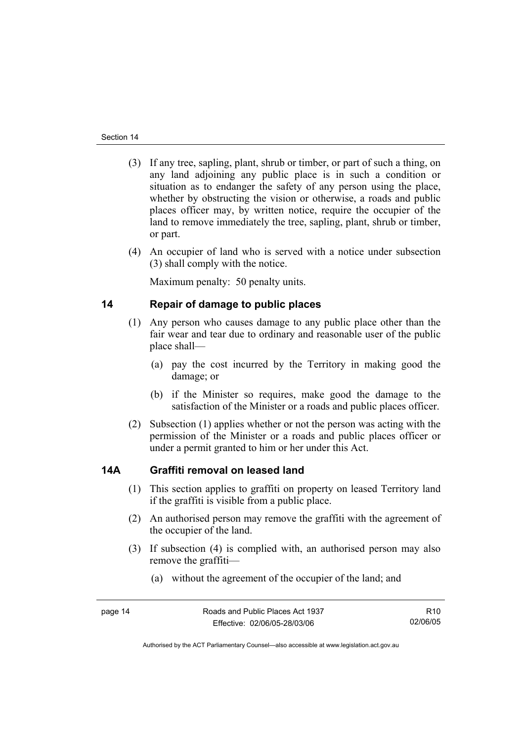- (3) If any tree, sapling, plant, shrub or timber, or part of such a thing, on any land adjoining any public place is in such a condition or situation as to endanger the safety of any person using the place, whether by obstructing the vision or otherwise, a roads and public places officer may, by written notice, require the occupier of the land to remove immediately the tree, sapling, plant, shrub or timber, or part.
- (4) An occupier of land who is served with a notice under subsection (3) shall comply with the notice.

Maximum penalty: 50 penalty units.

## **14 Repair of damage to public places**

- (1) Any person who causes damage to any public place other than the fair wear and tear due to ordinary and reasonable user of the public place shall—
	- (a) pay the cost incurred by the Territory in making good the damage; or
	- (b) if the Minister so requires, make good the damage to the satisfaction of the Minister or a roads and public places officer.
- (2) Subsection (1) applies whether or not the person was acting with the permission of the Minister or a roads and public places officer or under a permit granted to him or her under this Act.

## **14A Graffiti removal on leased land**

- (1) This section applies to graffiti on property on leased Territory land if the graffiti is visible from a public place.
- (2) An authorised person may remove the graffiti with the agreement of the occupier of the land.
- (3) If subsection (4) is complied with, an authorised person may also remove the graffiti—
	- (a) without the agreement of the occupier of the land; and

R10 02/06/05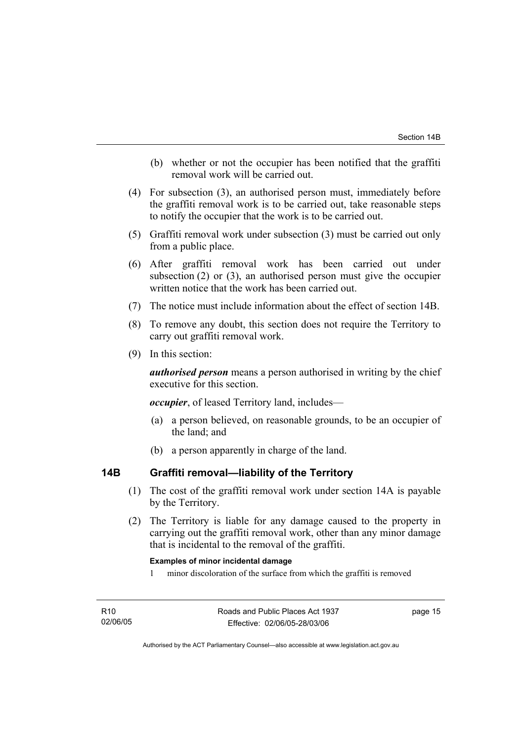- (b) whether or not the occupier has been notified that the graffiti removal work will be carried out.
- (4) For subsection (3), an authorised person must, immediately before the graffiti removal work is to be carried out, take reasonable steps to notify the occupier that the work is to be carried out.
- (5) Graffiti removal work under subsection (3) must be carried out only from a public place.
- (6) After graffiti removal work has been carried out under subsection (2) or (3), an authorised person must give the occupier written notice that the work has been carried out.
- (7) The notice must include information about the effect of section 14B.
- (8) To remove any doubt, this section does not require the Territory to carry out graffiti removal work.
- (9) In this section:

*authorised person* means a person authorised in writing by the chief executive for this section.

*occupier*, of leased Territory land, includes—

- (a) a person believed, on reasonable grounds, to be an occupier of the land; and
- (b) a person apparently in charge of the land.

## **14B Graffiti removal—liability of the Territory**

- (1) The cost of the graffiti removal work under section 14A is payable by the Territory.
- (2) The Territory is liable for any damage caused to the property in carrying out the graffiti removal work, other than any minor damage that is incidental to the removal of the graffiti.

#### **Examples of minor incidental damage**

1 minor discoloration of the surface from which the graffiti is removed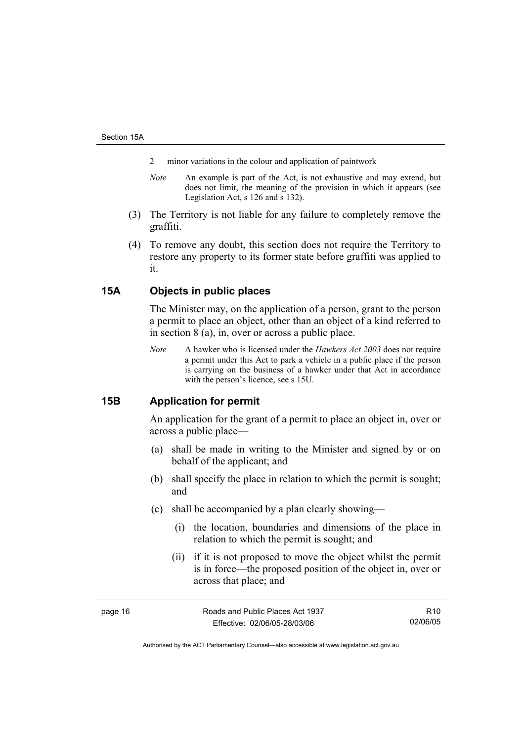- 2 minor variations in the colour and application of paintwork
- *Note* An example is part of the Act, is not exhaustive and may extend, but does not limit, the meaning of the provision in which it appears (see Legislation Act, s 126 and s 132).
- (3) The Territory is not liable for any failure to completely remove the graffiti.
- (4) To remove any doubt, this section does not require the Territory to restore any property to its former state before graffiti was applied to it.

## **15A Objects in public places**

The Minister may, on the application of a person, grant to the person a permit to place an object, other than an object of a kind referred to in section 8 (a), in, over or across a public place.

*Note* A hawker who is licensed under the *Hawkers Act 2003* does not require a permit under this Act to park a vehicle in a public place if the person is carrying on the business of a hawker under that Act in accordance with the person's licence, see s 15U.

## **15B Application for permit**

An application for the grant of a permit to place an object in, over or across a public place—

- (a) shall be made in writing to the Minister and signed by or on behalf of the applicant; and
- (b) shall specify the place in relation to which the permit is sought; and
- (c) shall be accompanied by a plan clearly showing—
	- (i) the location, boundaries and dimensions of the place in relation to which the permit is sought; and
	- (ii) if it is not proposed to move the object whilst the permit is in force—the proposed position of the object in, over or across that place; and

page 16 **Roads** and Public Places Act 1937 Effective: 02/06/05-28/03/06

R10 02/06/05

Authorised by the ACT Parliamentary Counsel—also accessible at www.legislation.act.gov.au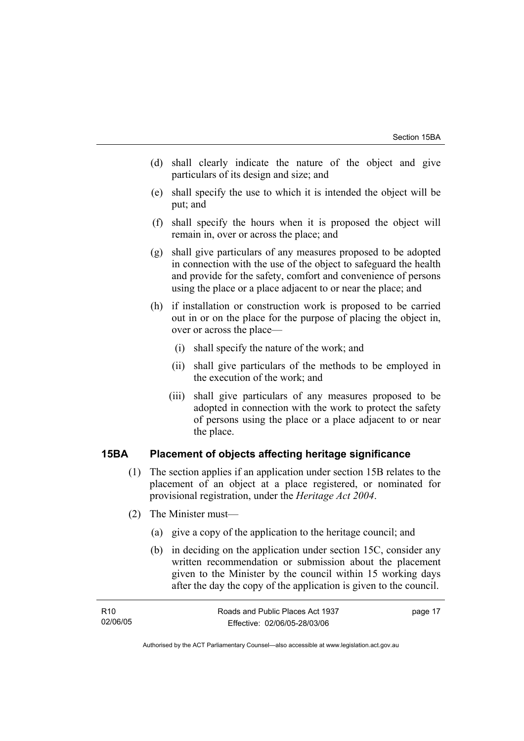- (d) shall clearly indicate the nature of the object and give particulars of its design and size; and
- (e) shall specify the use to which it is intended the object will be put; and
- (f) shall specify the hours when it is proposed the object will remain in, over or across the place; and
- (g) shall give particulars of any measures proposed to be adopted in connection with the use of the object to safeguard the health and provide for the safety, comfort and convenience of persons using the place or a place adjacent to or near the place; and
- (h) if installation or construction work is proposed to be carried out in or on the place for the purpose of placing the object in, over or across the place—
	- (i) shall specify the nature of the work; and
	- (ii) shall give particulars of the methods to be employed in the execution of the work; and
	- (iii) shall give particulars of any measures proposed to be adopted in connection with the work to protect the safety of persons using the place or a place adjacent to or near the place.

## **15BA Placement of objects affecting heritage significance**

- (1) The section applies if an application under section 15B relates to the placement of an object at a place registered, or nominated for provisional registration, under the *Heritage Act 2004*.
- (2) The Minister must—
	- (a) give a copy of the application to the heritage council; and
	- (b) in deciding on the application under section 15C, consider any written recommendation or submission about the placement given to the Minister by the council within 15 working days after the day the copy of the application is given to the council.

| R10      | Roads and Public Places Act 1937 | page 17 |
|----------|----------------------------------|---------|
| 02/06/05 | Effective: 02/06/05-28/03/06     |         |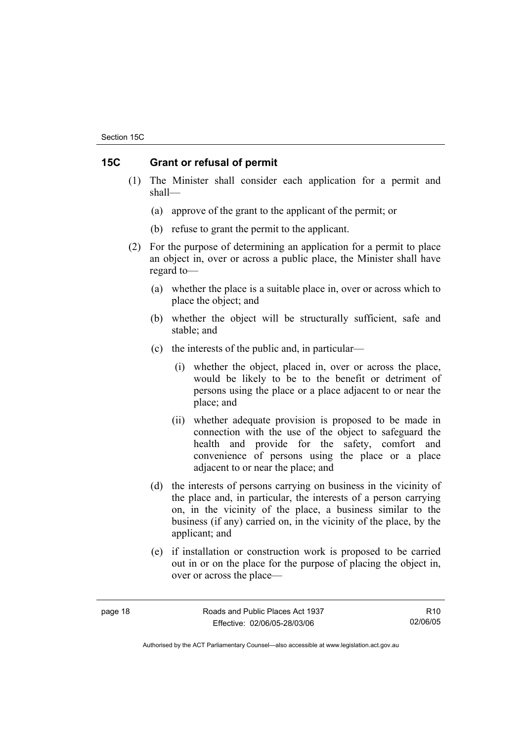## **15C Grant or refusal of permit**

- (1) The Minister shall consider each application for a permit and shall—
	- (a) approve of the grant to the applicant of the permit; or
	- (b) refuse to grant the permit to the applicant.
- (2) For the purpose of determining an application for a permit to place an object in, over or across a public place, the Minister shall have regard to—
	- (a) whether the place is a suitable place in, over or across which to place the object; and
	- (b) whether the object will be structurally sufficient, safe and stable; and
	- (c) the interests of the public and, in particular—
		- (i) whether the object, placed in, over or across the place, would be likely to be to the benefit or detriment of persons using the place or a place adjacent to or near the place; and
		- (ii) whether adequate provision is proposed to be made in connection with the use of the object to safeguard the health and provide for the safety, comfort and convenience of persons using the place or a place adjacent to or near the place; and
	- (d) the interests of persons carrying on business in the vicinity of the place and, in particular, the interests of a person carrying on, in the vicinity of the place, a business similar to the business (if any) carried on, in the vicinity of the place, by the applicant; and
	- (e) if installation or construction work is proposed to be carried out in or on the place for the purpose of placing the object in, over or across the place—

R10 02/06/05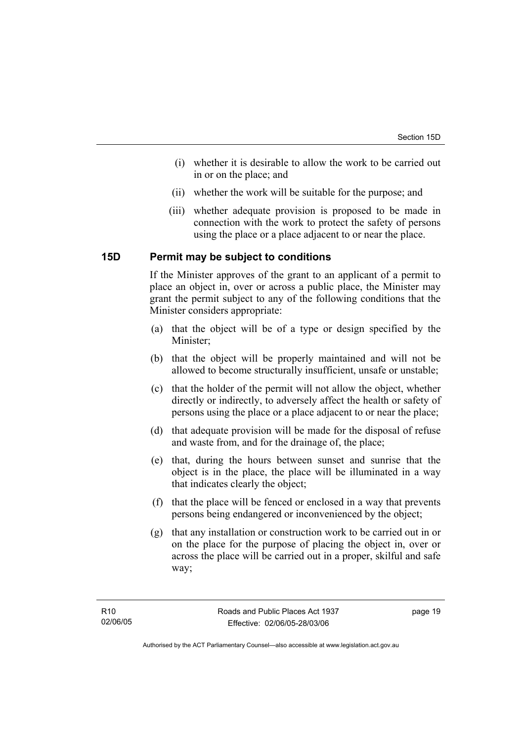- (i) whether it is desirable to allow the work to be carried out in or on the place; and
- (ii) whether the work will be suitable for the purpose; and
- (iii) whether adequate provision is proposed to be made in connection with the work to protect the safety of persons using the place or a place adjacent to or near the place.

#### **15D Permit may be subject to conditions**

If the Minister approves of the grant to an applicant of a permit to place an object in, over or across a public place, the Minister may grant the permit subject to any of the following conditions that the Minister considers appropriate:

- (a) that the object will be of a type or design specified by the Minister;
- (b) that the object will be properly maintained and will not be allowed to become structurally insufficient, unsafe or unstable;
- (c) that the holder of the permit will not allow the object, whether directly or indirectly, to adversely affect the health or safety of persons using the place or a place adjacent to or near the place;
- (d) that adequate provision will be made for the disposal of refuse and waste from, and for the drainage of, the place;
- (e) that, during the hours between sunset and sunrise that the object is in the place, the place will be illuminated in a way that indicates clearly the object;
- (f) that the place will be fenced or enclosed in a way that prevents persons being endangered or inconvenienced by the object;
- (g) that any installation or construction work to be carried out in or on the place for the purpose of placing the object in, over or across the place will be carried out in a proper, skilful and safe way;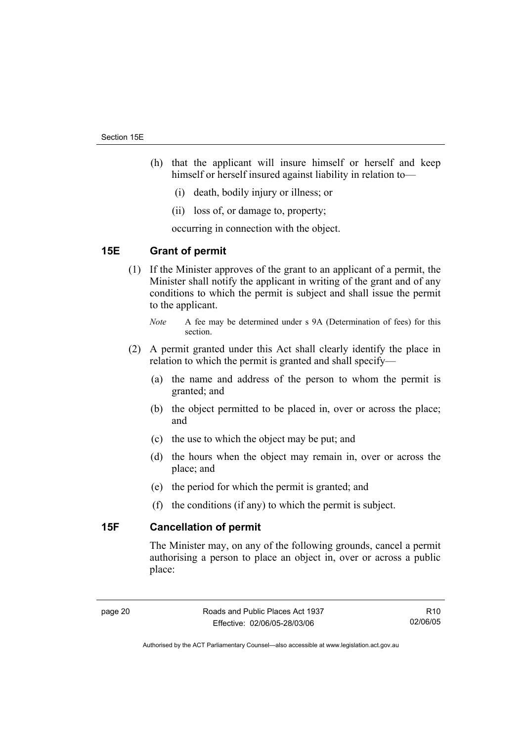- (h) that the applicant will insure himself or herself and keep himself or herself insured against liability in relation to—
	- (i) death, bodily injury or illness; or
	- (ii) loss of, or damage to, property;

occurring in connection with the object.

## **15E Grant of permit**

 (1) If the Minister approves of the grant to an applicant of a permit, the Minister shall notify the applicant in writing of the grant and of any conditions to which the permit is subject and shall issue the permit to the applicant.

- (2) A permit granted under this Act shall clearly identify the place in relation to which the permit is granted and shall specify—
	- (a) the name and address of the person to whom the permit is granted; and
	- (b) the object permitted to be placed in, over or across the place; and
	- (c) the use to which the object may be put; and
	- (d) the hours when the object may remain in, over or across the place; and
	- (e) the period for which the permit is granted; and
	- (f) the conditions (if any) to which the permit is subject.

## **15F Cancellation of permit**

The Minister may, on any of the following grounds, cancel a permit authorising a person to place an object in, over or across a public place:

R10 02/06/05

*Note* A fee may be determined under s 9A (Determination of fees) for this section.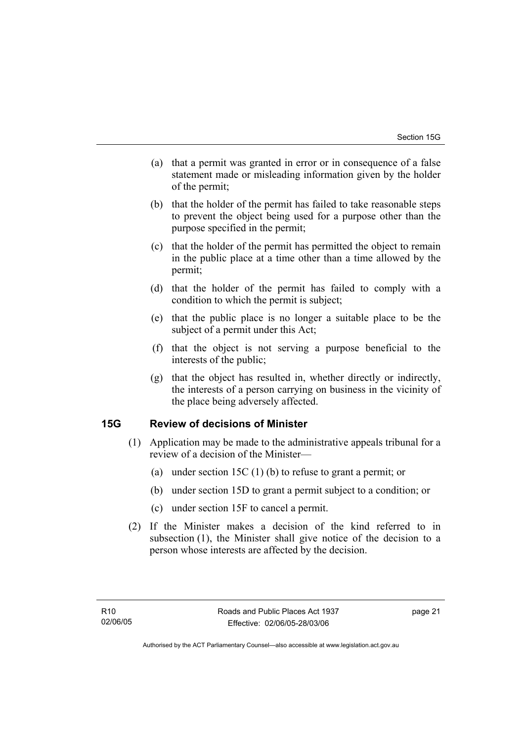- (a) that a permit was granted in error or in consequence of a false statement made or misleading information given by the holder of the permit;
- (b) that the holder of the permit has failed to take reasonable steps to prevent the object being used for a purpose other than the purpose specified in the permit;
- (c) that the holder of the permit has permitted the object to remain in the public place at a time other than a time allowed by the permit;
- (d) that the holder of the permit has failed to comply with a condition to which the permit is subject;
- (e) that the public place is no longer a suitable place to be the subject of a permit under this Act;
- (f) that the object is not serving a purpose beneficial to the interests of the public;
- (g) that the object has resulted in, whether directly or indirectly, the interests of a person carrying on business in the vicinity of the place being adversely affected.

## **15G Review of decisions of Minister**

- (1) Application may be made to the administrative appeals tribunal for a review of a decision of the Minister—
	- (a) under section 15C (1) (b) to refuse to grant a permit; or
	- (b) under section 15D to grant a permit subject to a condition; or
	- (c) under section 15F to cancel a permit.
- (2) If the Minister makes a decision of the kind referred to in subsection (1), the Minister shall give notice of the decision to a person whose interests are affected by the decision.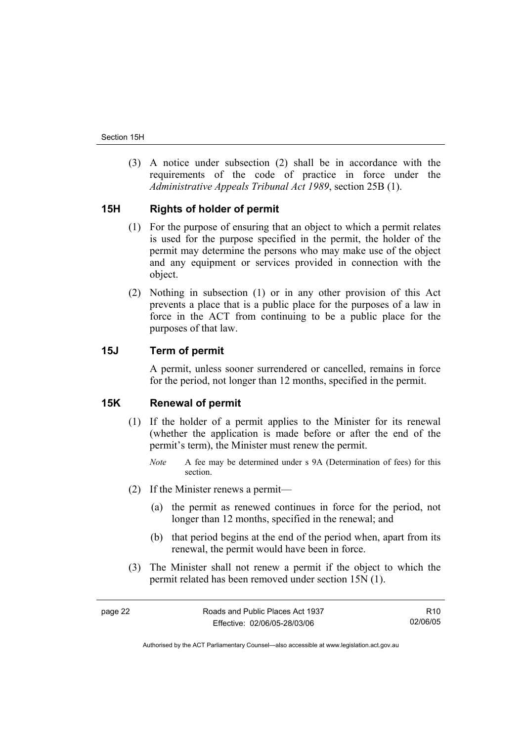(3) A notice under subsection (2) shall be in accordance with the requirements of the code of practice in force under the *Administrative Appeals Tribunal Act 1989*, section 25B (1).

## **15H Rights of holder of permit**

- (1) For the purpose of ensuring that an object to which a permit relates is used for the purpose specified in the permit, the holder of the permit may determine the persons who may make use of the object and any equipment or services provided in connection with the object.
- (2) Nothing in subsection (1) or in any other provision of this Act prevents a place that is a public place for the purposes of a law in force in the ACT from continuing to be a public place for the purposes of that law.

## **15J Term of permit**

A permit, unless sooner surrendered or cancelled, remains in force for the period, not longer than 12 months, specified in the permit.

#### **15K Renewal of permit**

- (1) If the holder of a permit applies to the Minister for its renewal (whether the application is made before or after the end of the permit's term), the Minister must renew the permit.
	- *Note* A fee may be determined under s 9A (Determination of fees) for this section.
- (2) If the Minister renews a permit—
	- (a) the permit as renewed continues in force for the period, not longer than 12 months, specified in the renewal; and
	- (b) that period begins at the end of the period when, apart from its renewal, the permit would have been in force.
- (3) The Minister shall not renew a permit if the object to which the permit related has been removed under section 15N (1).

R10 02/06/05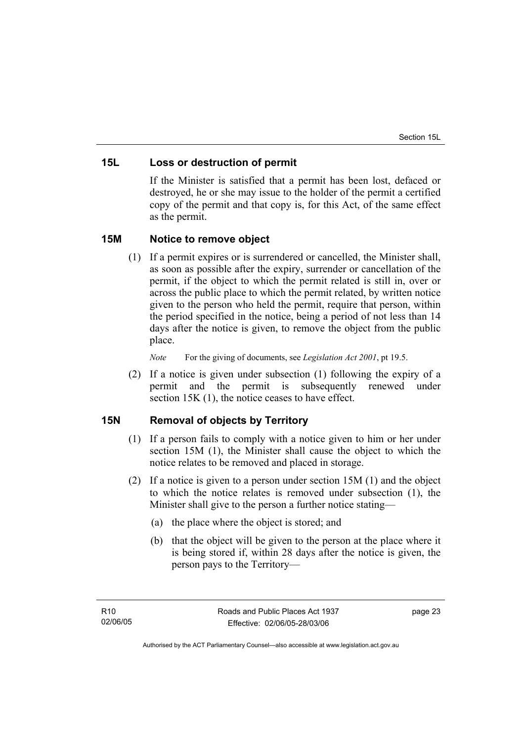## **15L Loss or destruction of permit**

If the Minister is satisfied that a permit has been lost, defaced or destroyed, he or she may issue to the holder of the permit a certified copy of the permit and that copy is, for this Act, of the same effect as the permit.

## **15M Notice to remove object**

 (1) If a permit expires or is surrendered or cancelled, the Minister shall, as soon as possible after the expiry, surrender or cancellation of the permit, if the object to which the permit related is still in, over or across the public place to which the permit related, by written notice given to the person who held the permit, require that person, within the period specified in the notice, being a period of not less than 14 days after the notice is given, to remove the object from the public place.

*Note* For the giving of documents, see *Legislation Act 2001*, pt 19.5.

 (2) If a notice is given under subsection (1) following the expiry of a permit and the permit is subsequently renewed under section 15K (1), the notice ceases to have effect.

## **15N Removal of objects by Territory**

- (1) If a person fails to comply with a notice given to him or her under section 15M (1), the Minister shall cause the object to which the notice relates to be removed and placed in storage.
- (2) If a notice is given to a person under section 15M (1) and the object to which the notice relates is removed under subsection (1), the Minister shall give to the person a further notice stating—
	- (a) the place where the object is stored; and
	- (b) that the object will be given to the person at the place where it is being stored if, within 28 days after the notice is given, the person pays to the Territory—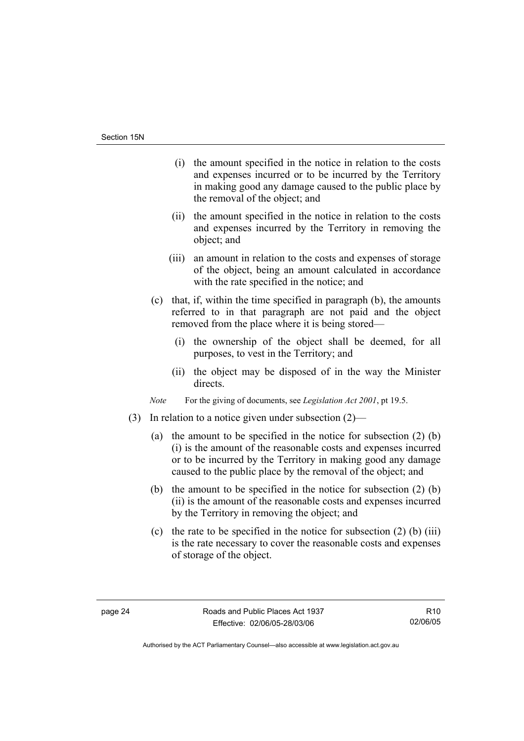- (i) the amount specified in the notice in relation to the costs and expenses incurred or to be incurred by the Territory in making good any damage caused to the public place by the removal of the object; and
- (ii) the amount specified in the notice in relation to the costs and expenses incurred by the Territory in removing the object; and
- (iii) an amount in relation to the costs and expenses of storage of the object, being an amount calculated in accordance with the rate specified in the notice; and
- (c) that, if, within the time specified in paragraph (b), the amounts referred to in that paragraph are not paid and the object removed from the place where it is being stored—
	- (i) the ownership of the object shall be deemed, for all purposes, to vest in the Territory; and
	- (ii) the object may be disposed of in the way the Minister directs.

*Note* For the giving of documents, see *Legislation Act 2001*, pt 19.5.

- (3) In relation to a notice given under subsection (2)—
	- (a) the amount to be specified in the notice for subsection (2) (b) (i) is the amount of the reasonable costs and expenses incurred or to be incurred by the Territory in making good any damage caused to the public place by the removal of the object; and
	- (b) the amount to be specified in the notice for subsection (2) (b) (ii) is the amount of the reasonable costs and expenses incurred by the Territory in removing the object; and
	- (c) the rate to be specified in the notice for subsection  $(2)$  (b) (iii) is the rate necessary to cover the reasonable costs and expenses of storage of the object.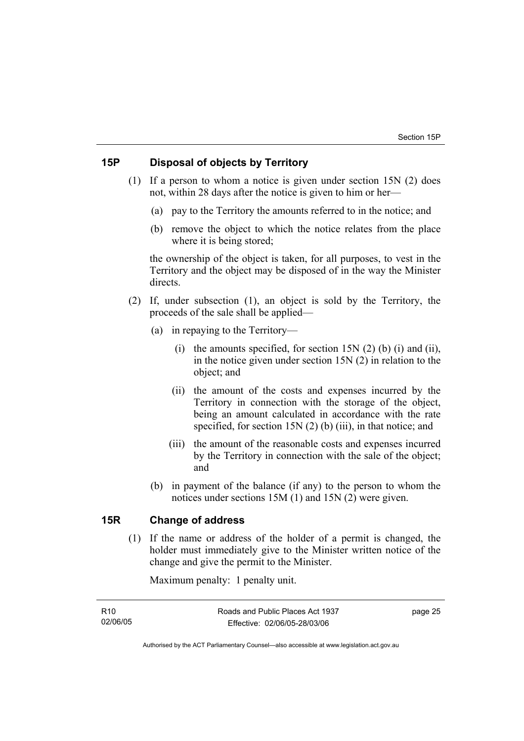## **15P Disposal of objects by Territory**

- (1) If a person to whom a notice is given under section 15N (2) does not, within 28 days after the notice is given to him or her—
	- (a) pay to the Territory the amounts referred to in the notice; and
	- (b) remove the object to which the notice relates from the place where it is being stored;

the ownership of the object is taken, for all purposes, to vest in the Territory and the object may be disposed of in the way the Minister directs.

- (2) If, under subsection (1), an object is sold by the Territory, the proceeds of the sale shall be applied—
	- (a) in repaying to the Territory—
		- (i) the amounts specified, for section  $15N(2)$  (b) (i) and (ii), in the notice given under section 15N (2) in relation to the object; and
		- (ii) the amount of the costs and expenses incurred by the Territory in connection with the storage of the object, being an amount calculated in accordance with the rate specified, for section 15N (2) (b) (iii), in that notice; and
		- (iii) the amount of the reasonable costs and expenses incurred by the Territory in connection with the sale of the object; and
	- (b) in payment of the balance (if any) to the person to whom the notices under sections 15M (1) and 15N (2) were given.

## **15R Change of address**

 (1) If the name or address of the holder of a permit is changed, the holder must immediately give to the Minister written notice of the change and give the permit to the Minister.

Maximum penalty: 1 penalty unit.

R10 02/06/05 page 25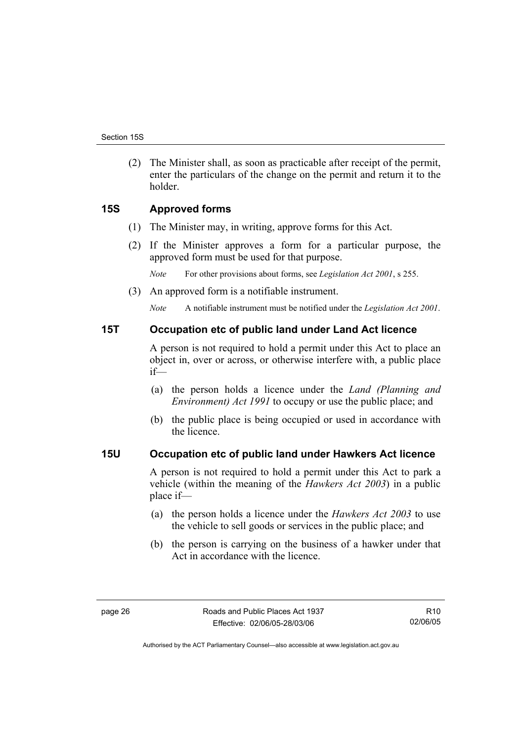(2) The Minister shall, as soon as practicable after receipt of the permit, enter the particulars of the change on the permit and return it to the holder.

## **15S Approved forms**

- (1) The Minister may, in writing, approve forms for this Act.
- (2) If the Minister approves a form for a particular purpose, the approved form must be used for that purpose.

*Note* For other provisions about forms, see *Legislation Act 2001*, s 255.

(3) An approved form is a notifiable instrument.

*Note* A notifiable instrument must be notified under the *Legislation Act 2001*.

#### **15T Occupation etc of public land under Land Act licence**

A person is not required to hold a permit under this Act to place an object in, over or across, or otherwise interfere with, a public place if—

- (a) the person holds a licence under the *Land (Planning and Environment) Act 1991* to occupy or use the public place; and
- (b) the public place is being occupied or used in accordance with the licence.

## **15U Occupation etc of public land under Hawkers Act licence**

A person is not required to hold a permit under this Act to park a vehicle (within the meaning of the *Hawkers Act 2003*) in a public place if—

- (a) the person holds a licence under the *Hawkers Act 2003* to use the vehicle to sell goods or services in the public place; and
- (b) the person is carrying on the business of a hawker under that Act in accordance with the licence.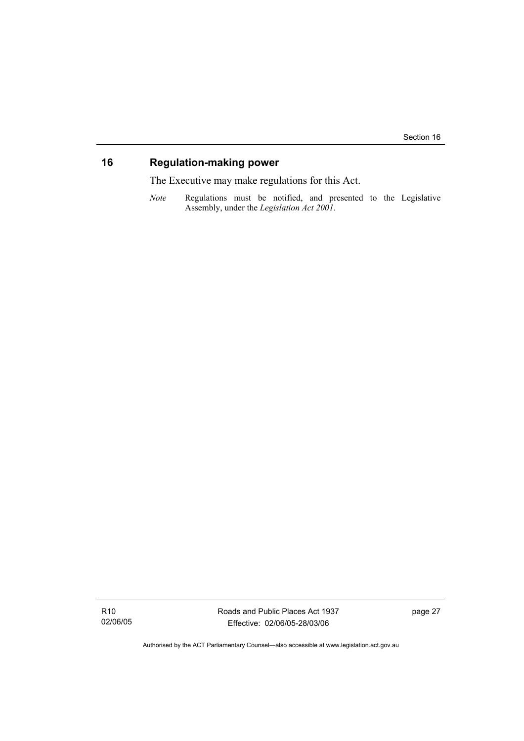## **16 Regulation-making power**

The Executive may make regulations for this Act.

*Note* Regulations must be notified, and presented to the Legislative Assembly, under the *Legislation Act 2001*.

R10 02/06/05 Roads and Public Places Act 1937 Effective: 02/06/05-28/03/06

page 27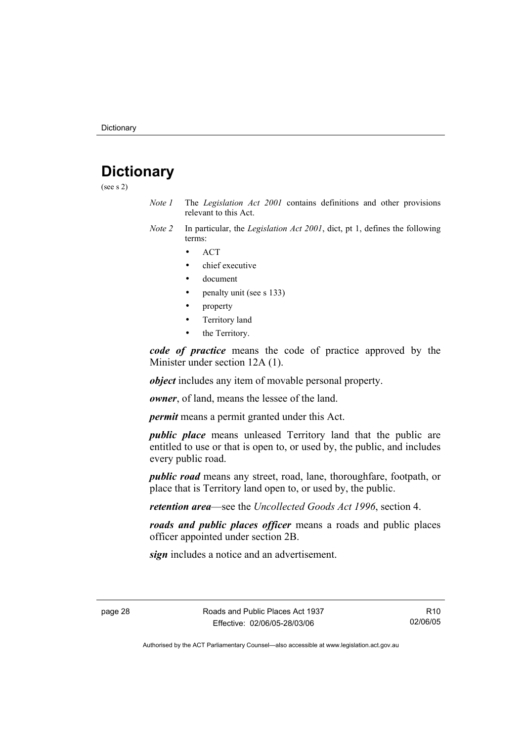# **Dictionary**

(see s 2)

- *Note 1* The *Legislation Act 2001* contains definitions and other provisions relevant to this Act.
- *Note 2* In particular, the *Legislation Act 2001*, dict, pt 1, defines the following terms:
	- ACT
	- chief executive
	- document
	- penalty unit (see s 133)
	- property
	- Territory land
	- the Territory.

*code of practice* means the code of practice approved by the Minister under section 12A (1).

*object* includes any item of movable personal property.

*owner*, of land, means the lessee of the land.

*permit* means a permit granted under this Act.

*public place* means unleased Territory land that the public are entitled to use or that is open to, or used by, the public, and includes every public road.

*public road* means any street, road, lane, thoroughfare, footpath, or place that is Territory land open to, or used by, the public.

*retention area*—see the *Uncollected Goods Act 1996*, section 4.

*roads and public places officer* means a roads and public places officer appointed under section 2B.

*sign* includes a notice and an advertisement.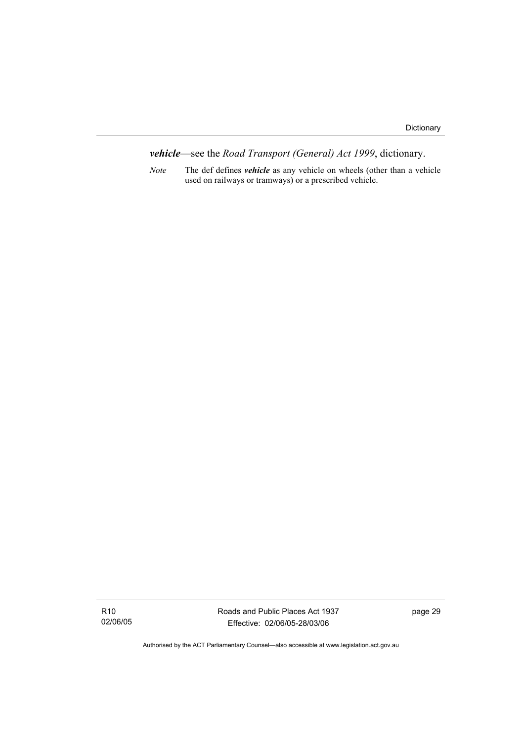*vehicle*—see the *Road Transport (General) Act 1999*, dictionary.

*Note* The def defines *vehicle* as any vehicle on wheels (other than a vehicle used on railways or tramways) or a prescribed vehicle.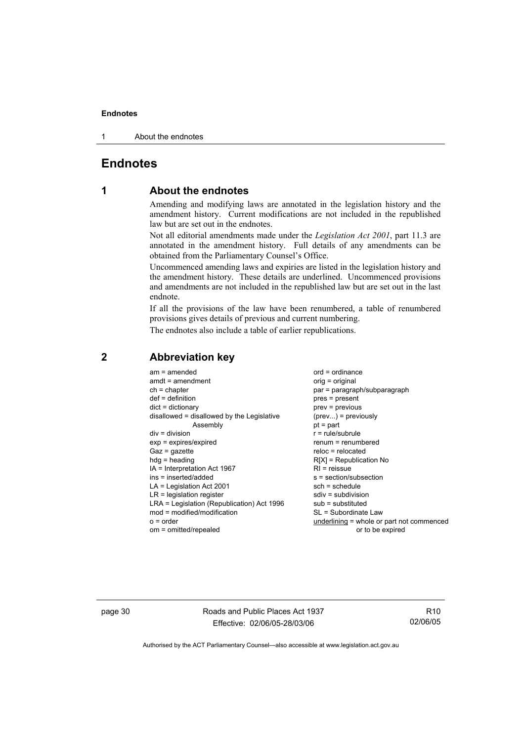1 About the endnotes

## **Endnotes**

## **1 About the endnotes**

Amending and modifying laws are annotated in the legislation history and the amendment history. Current modifications are not included in the republished law but are set out in the endnotes.

Not all editorial amendments made under the *Legislation Act 2001*, part 11.3 are annotated in the amendment history. Full details of any amendments can be obtained from the Parliamentary Counsel's Office.

Uncommenced amending laws and expiries are listed in the legislation history and the amendment history. These details are underlined. Uncommenced provisions and amendments are not included in the republished law but are set out in the last endnote.

If all the provisions of the law have been renumbered, a table of renumbered provisions gives details of previous and current numbering.

The endnotes also include a table of earlier republications.

| par = paragraph/subparagraph<br>$ch = chapter$<br>$def = definition$<br>$dict = dictionary$<br>disallowed = disallowed by the Legislative<br>Assembly<br>$pt = part$<br>$div = division$<br>$exp = expires/expired$<br>$Gaz = gazette$<br>$h dq =$ heading<br>$IA = Interpretation Act 1967$<br>ins = inserted/added<br>$LA =$ Legislation Act 2001<br>$LR =$ legislation register<br>LRA = Legislation (Republication) Act 1996<br>$mod = modified/modification$<br>$o = order$ | pres = present<br>$prev = previous$<br>$(\text{prev}) = \text{previously}$<br>$r = rule/subrule$<br>$renum = renumbered$<br>$reloc = relocated$<br>$R[X]$ = Republication No<br>$RI =$ reissue<br>$s = section/subsection$<br>$sch = schedule$<br>$sdiv = subdivision$<br>$sub =$ substituted<br>SL = Subordinate Law<br>underlining = whole or part not commenced |
|----------------------------------------------------------------------------------------------------------------------------------------------------------------------------------------------------------------------------------------------------------------------------------------------------------------------------------------------------------------------------------------------------------------------------------------------------------------------------------|--------------------------------------------------------------------------------------------------------------------------------------------------------------------------------------------------------------------------------------------------------------------------------------------------------------------------------------------------------------------|
| om = omitted/repealed                                                                                                                                                                                                                                                                                                                                                                                                                                                            | or to be expired                                                                                                                                                                                                                                                                                                                                                   |

## **2 Abbreviation key**

page 30 Roads and Public Places Act 1937 Effective: 02/06/05-28/03/06

R10 02/06/05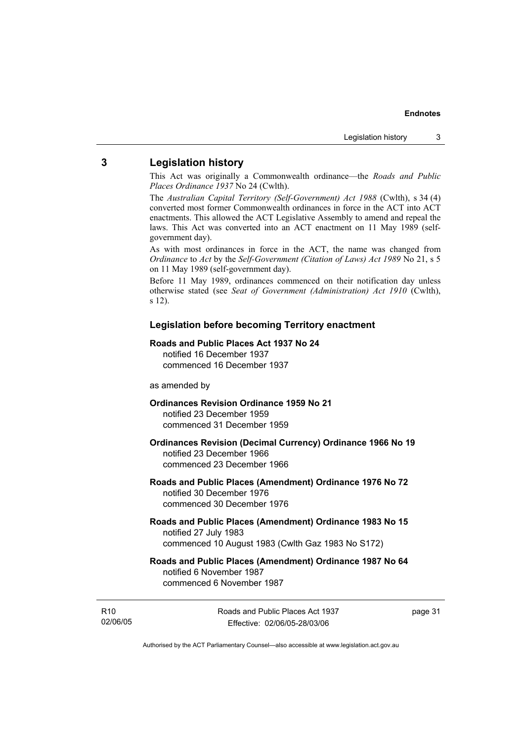## **3 Legislation history**

This Act was originally a Commonwealth ordinance—the *Roads and Public Places Ordinance 1937* No 24 (Cwlth).

The *Australian Capital Territory (Self-Government) Act 1988* (Cwlth), s 34 (4) converted most former Commonwealth ordinances in force in the ACT into ACT enactments. This allowed the ACT Legislative Assembly to amend and repeal the laws. This Act was converted into an ACT enactment on 11 May 1989 (selfgovernment day).

As with most ordinances in force in the ACT, the name was changed from *Ordinance* to *Act* by the *Self-Government (Citation of Laws) Act 1989* No 21, s 5 on 11 May 1989 (self-government day).

Before 11 May 1989, ordinances commenced on their notification day unless otherwise stated (see *Seat of Government (Administration) Act 1910* (Cwlth), s 12).

#### **Legislation before becoming Territory enactment**

#### **Roads and Public Places Act 1937 No 24**

notified 16 December 1937 commenced 16 December 1937

#### as amended by

### **Ordinances Revision Ordinance 1959 No 21**  notified 23 December 1959

commenced 31 December 1959

#### **Ordinances Revision (Decimal Currency) Ordinance 1966 No 19**  notified 23 December 1966 commenced 23 December 1966

#### **Roads and Public Places (Amendment) Ordinance 1976 No 72**  notified 30 December 1976 commenced 30 December 1976

#### **Roads and Public Places (Amendment) Ordinance 1983 No 15**  notified 27 July 1983 commenced 10 August 1983 (Cwlth Gaz 1983 No S172)

#### **Roads and Public Places (Amendment) Ordinance 1987 No 64**  notified 6 November 1987 commenced 6 November 1987

R10 02/06/05 page 31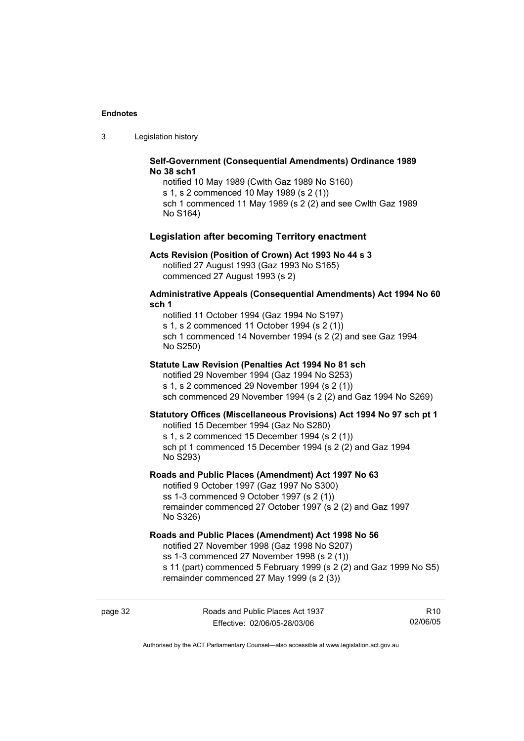3 Legislation history

#### **Self-Government (Consequential Amendments) Ordinance 1989 No 38 sch1**

notified 10 May 1989 (Cwlth Gaz 1989 No S160) s 1, s 2 commenced 10 May 1989 (s 2 (1)) sch 1 commenced 11 May 1989 (s 2 (2) and see Cwlth Gaz 1989 No S164)

#### **Legislation after becoming Territory enactment**

#### **Acts Revision (Position of Crown) Act 1993 No 44 s 3**

notified 27 August 1993 (Gaz 1993 No S165) commenced 27 August 1993 (s 2)

#### **Administrative Appeals (Consequential Amendments) Act 1994 No 60 sch 1**

notified 11 October 1994 (Gaz 1994 No S197) s 1, s 2 commenced 11 October 1994 (s 2 (1)) sch 1 commenced 14 November 1994 (s 2 (2) and see Gaz 1994 No S250)

#### **Statute Law Revision (Penalties Act 1994 No 81 sch**

notified 29 November 1994 (Gaz 1994 No S253) s 1, s 2 commenced 29 November 1994 (s 2 (1)) sch commenced 29 November 1994 (s 2 (2) and Gaz 1994 No S269)

#### **Statutory Offices (Miscellaneous Provisions) Act 1994 No 97 sch pt 1**

notified 15 December 1994 (Gaz No S280)

s 1, s 2 commenced 15 December 1994 (s 2 (1)) sch pt 1 commenced 15 December 1994 (s 2 (2) and Gaz 1994 No S293)

#### **Roads and Public Places (Amendment) Act 1997 No 63**

notified 9 October 1997 (Gaz 1997 No S300) ss 1-3 commenced 9 October 1997 (s 2 (1)) remainder commenced 27 October 1997 (s 2 (2) and Gaz 1997 No S326)

#### **Roads and Public Places (Amendment) Act 1998 No 56**

notified 27 November 1998 (Gaz 1998 No S207) ss 1-3 commenced 27 November 1998 (s 2 (1)) s 11 (part) commenced 5 February 1999 (s 2 (2) and Gaz 1999 No S5) remainder commenced 27 May 1999 (s 2 (3))

page 32 Roads and Public Places Act 1937 Effective: 02/06/05-28/03/06

R10 02/06/05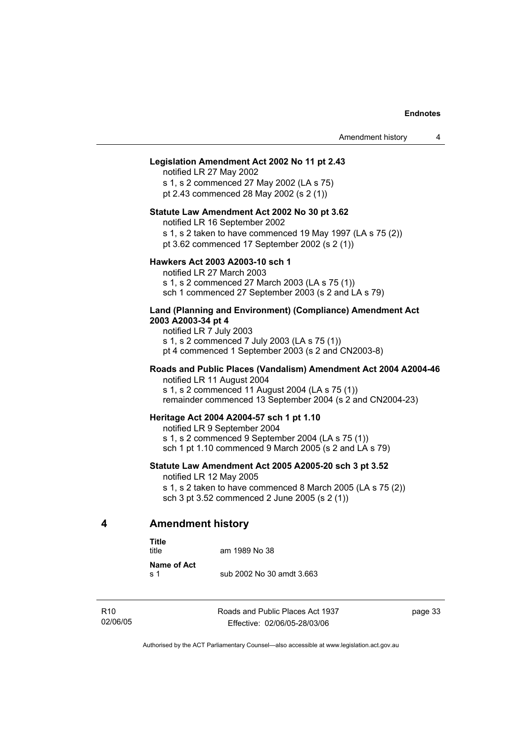#### **Legislation Amendment Act 2002 No 11 pt 2.43**

notified LR 27 May 2002 s 1, s 2 commenced 27 May 2002 (LA s 75) pt 2.43 commenced 28 May 2002 (s 2 (1))

#### **Statute Law Amendment Act 2002 No 30 pt 3.62**

notified LR 16 September 2002

s 1, s 2 taken to have commenced 19 May 1997 (LA s 75 (2))

pt 3.62 commenced 17 September 2002 (s 2 (1))

#### **Hawkers Act 2003 A2003-10 sch 1**

notified LR 27 March 2003 s 1, s 2 commenced 27 March 2003 (LA s 75 (1)) sch 1 commenced 27 September 2003 (s 2 and LA s 79)

#### **Land (Planning and Environment) (Compliance) Amendment Act 2003 A2003-34 pt 4**

notified LR 7 July 2003 s 1, s 2 commenced 7 July 2003 (LA s 75 (1)) pt 4 commenced 1 September 2003 (s 2 and CN2003-8)

#### **Roads and Public Places (Vandalism) Amendment Act 2004 A2004-46**  notified LR 11 August 2004

s 1, s 2 commenced 11 August 2004 (LA s 75 (1))

remainder commenced 13 September 2004 (s 2 and CN2004-23)

#### **Heritage Act 2004 A2004-57 sch 1 pt 1.10**

notified LR 9 September 2004 s 1, s 2 commenced 9 September 2004 (LA s 75 (1)) sch 1 pt 1.10 commenced 9 March 2005 (s 2 and LA s 79)

#### **Statute Law Amendment Act 2005 A2005-20 sch 3 pt 3.52**

notified LR 12 May 2005

s 1, s 2 taken to have commenced 8 March 2005 (LA s 75 (2)) sch 3 pt 3.52 commenced 2 June 2005 (s 2 (1))

#### **4 Amendment history**

**Title** 

| i itle<br>title      | am 1989 No 38             |
|----------------------|---------------------------|
| Name of Act<br>.s. 1 | sub 2002 No 30 amdt 3.663 |

R10 02/06/05 Roads and Public Places Act 1937 Effective: 02/06/05-28/03/06

page 33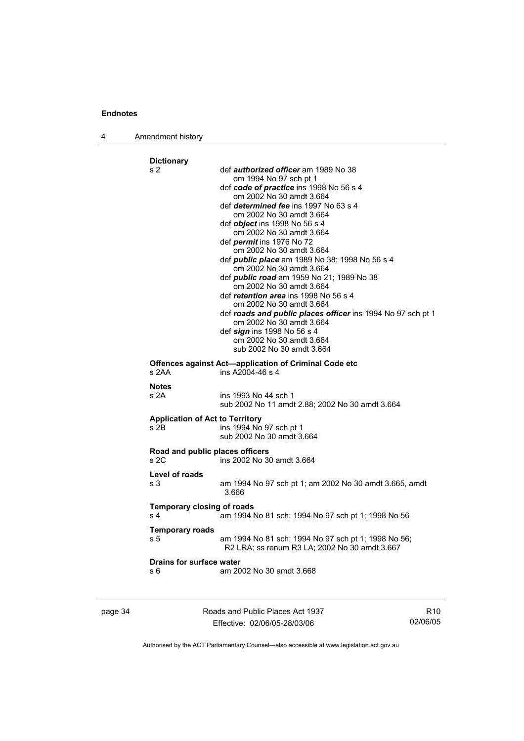4 Amendment history

| s 2                                                        | def <i>authorized officer</i> am 1989 No 38                                             |
|------------------------------------------------------------|-----------------------------------------------------------------------------------------|
|                                                            | om 1994 No 97 sch pt 1                                                                  |
|                                                            | def code of practice ins 1998 No 56 s 4                                                 |
|                                                            | om 2002 No 30 amdt 3.664                                                                |
|                                                            | def <i>determined fee</i> ins 1997 No 63 s 4<br>om 2002 No 30 amdt 3.664                |
|                                                            | def object ins 1998 No 56 s 4                                                           |
|                                                            | om 2002 No 30 amdt 3.664                                                                |
|                                                            | def <i>permit</i> ins 1976 No 72                                                        |
|                                                            | om 2002 No 30 amdt 3.664                                                                |
|                                                            | def <i>public place</i> am 1989 No 38; 1998 No 56 s 4                                   |
|                                                            | om 2002 No 30 amdt 3.664                                                                |
|                                                            | def public road am 1959 No 21; 1989 No 38                                               |
|                                                            | om 2002 No 30 amdt 3.664                                                                |
|                                                            | def retention area ins 1998 No 56 s 4                                                   |
|                                                            | om 2002 No 30 amdt 3.664                                                                |
|                                                            | def roads and public places officer ins 1994 No 97 sch pt 1<br>om 2002 No 30 amdt 3.664 |
|                                                            | def sign ins 1998 No 56 s 4                                                             |
|                                                            | om 2002 No 30 amdt 3.664                                                                |
|                                                            | sub 2002 No 30 amdt 3.664                                                               |
|                                                            | Offences against Act—application of Criminal Code etc                                   |
| s 2AA                                                      | ins A2004-46 s 4                                                                        |
| <b>Notes</b>                                               |                                                                                         |
| s 2A                                                       | ins 1993 No 44 sch 1                                                                    |
|                                                            |                                                                                         |
|                                                            | sub 2002 No 11 amdt 2.88; 2002 No 30 amdt 3.664                                         |
| <b>Application of Act to Territory</b>                     |                                                                                         |
|                                                            | ins 1994 No 97 sch pt 1                                                                 |
|                                                            | sub 2002 No 30 amdt 3.664                                                               |
|                                                            |                                                                                         |
| $s$ 2B<br>Road and public places officers<br>s2C           | ins 2002 No 30 amdt 3.664                                                               |
|                                                            |                                                                                         |
|                                                            | am 1994 No 97 sch pt 1; am 2002 No 30 amdt 3.665, amdt<br>3.666                         |
| Level of roads<br>s 3<br><b>Temporary closing of roads</b> |                                                                                         |
| s <sub>4</sub>                                             | am 1994 No 81 sch; 1994 No 97 sch pt 1; 1998 No 56                                      |
| <b>Temporary roads</b>                                     |                                                                                         |
|                                                            | am 1994 No 81 sch; 1994 No 97 sch pt 1; 1998 No 56;                                     |
| s 5                                                        | R2 LRA; ss renum R3 LA; 2002 No 30 amdt 3.667                                           |
| <b>Drains for surface water</b>                            |                                                                                         |

page 34 Roads and Public Places Act 1937 Effective: 02/06/05-28/03/06

R10 02/06/05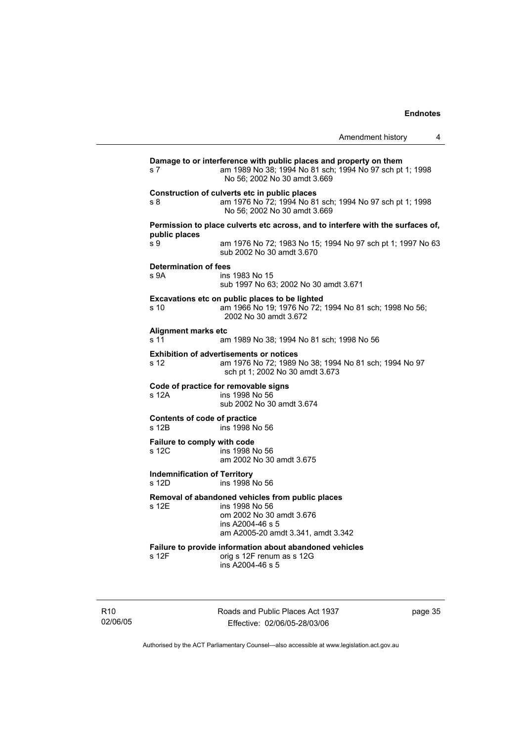|                                              |                                                                                                                                                               | Amendment history | 4 |
|----------------------------------------------|---------------------------------------------------------------------------------------------------------------------------------------------------------------|-------------------|---|
| s 7                                          | Damage to or interference with public places and property on them<br>am 1989 No 38; 1994 No 81 sch; 1994 No 97 sch pt 1; 1998<br>No 56: 2002 No 30 amdt 3.669 |                   |   |
| s 8                                          | Construction of culverts etc in public places<br>am 1976 No 72; 1994 No 81 sch; 1994 No 97 sch pt 1; 1998<br>No 56; 2002 No 30 amdt 3.669                     |                   |   |
|                                              | Permission to place culverts etc across, and to interfere with the surfaces of,                                                                               |                   |   |
| public places<br>s 9                         | am 1976 No 72; 1983 No 15; 1994 No 97 sch pt 1; 1997 No 63<br>sub 2002 No 30 amdt 3.670                                                                       |                   |   |
| <b>Determination of fees</b><br>s 9A         | ins 1983 No 15<br>sub 1997 No 63; 2002 No 30 amdt 3.671                                                                                                       |                   |   |
| s 10                                         | Excavations etc on public places to be lighted<br>am 1966 No 19; 1976 No 72; 1994 No 81 sch; 1998 No 56;<br>2002 No 30 amdt 3.672                             |                   |   |
| Alignment marks etc<br>s 11                  | am 1989 No 38; 1994 No 81 sch; 1998 No 56                                                                                                                     |                   |   |
| s 12                                         | <b>Exhibition of advertisements or notices</b><br>am 1976 No 72; 1989 No 38; 1994 No 81 sch; 1994 No 97<br>sch pt 1; 2002 No 30 amdt 3.673                    |                   |   |
| s 12A                                        | Code of practice for removable signs<br>ins 1998 No 56<br>sub 2002 No 30 amdt 3.674                                                                           |                   |   |
| <b>Contents of code of practice</b><br>s 12B | ins 1998 No 56                                                                                                                                                |                   |   |
| Failure to comply with code<br>s 12C         | ins 1998 No 56<br>am 2002 No 30 amdt 3.675                                                                                                                    |                   |   |
| <b>Indemnification of Territory</b><br>s 12D | ins 1998 No 56                                                                                                                                                |                   |   |
| s 12E                                        | Removal of abandoned vehicles from public places<br>ins 1998 No 56<br>om 2002 No 30 amdt 3.676<br>ins A2004-46 s 5<br>am A2005-20 amdt 3.341, amdt 3.342      |                   |   |
| s 12F                                        | Failure to provide information about abandoned vehicles<br>orig s 12F renum as s 12G<br>ins A2004-46 s 5                                                      |                   |   |

R10 02/06/05 Roads and Public Places Act 1937 Effective: 02/06/05-28/03/06

page 35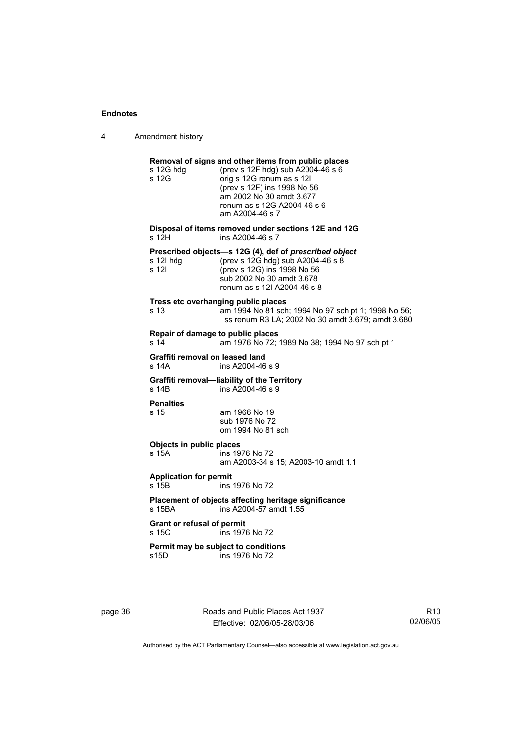4 Amendment history

| s 12G hdg<br>s 12G                                 | Removal of signs and other items from public places<br>(prev s 12F hdg) sub A2004-46 s 6<br>orig s 12G renum as s 12I<br>(prev s 12F) ins 1998 No 56<br>am 2002 No 30 amdt 3.677<br>renum as s 12G A2004-46 s 6<br>am A2004-46 s 7 |
|----------------------------------------------------|------------------------------------------------------------------------------------------------------------------------------------------------------------------------------------------------------------------------------------|
| s 12H                                              | Disposal of items removed under sections 12E and 12G<br>ins A2004-46 s 7                                                                                                                                                           |
| s 12l hdg<br>s 12l                                 | Prescribed objects-s 12G (4), def of prescribed object<br>(prev s 12G hdg) sub A2004-46 s 8<br>(prev s 12G) ins 1998 No 56<br>sub 2002 No 30 amdt 3.678<br>renum as s 12I A2004-46 s 8                                             |
| s 13                                               | Tress etc overhanging public places<br>am 1994 No 81 sch; 1994 No 97 sch pt 1; 1998 No 56;<br>ss renum R3 LA; 2002 No 30 amdt 3.679; amdt 3.680                                                                                    |
| Repair of damage to public places<br>s 14          | am 1976 No 72; 1989 No 38; 1994 No 97 sch pt 1                                                                                                                                                                                     |
| Graffiti removal on leased land<br>s 14A           | ins A2004-46 s 9                                                                                                                                                                                                                   |
| s 14B                                              | Graffiti removal-liability of the Territory<br>ins A2004-46 s 9                                                                                                                                                                    |
| <b>Penalties</b><br>s 15                           | am 1966 No 19<br>sub 1976 No 72<br>om 1994 No 81 sch                                                                                                                                                                               |
| Objects in public places<br>s 15A                  | ins 1976 No 72<br>am A2003-34 s 15; A2003-10 amdt 1.1                                                                                                                                                                              |
| <b>Application for permit</b><br>s 15 <sub>B</sub> | ins 1976 No 72                                                                                                                                                                                                                     |
| s 15BA                                             | Placement of objects affecting heritage significance<br>ins A2004-57 amdt 1.55                                                                                                                                                     |
| <b>Grant or refusal of permit</b><br>s 15C         | ins 1976 No 72                                                                                                                                                                                                                     |
| s15D                                               | Permit may be subject to conditions<br>ins 1976 No 72                                                                                                                                                                              |

page 36 **Roads and Public Places Act 1937** Effective: 02/06/05-28/03/06

R10 02/06/05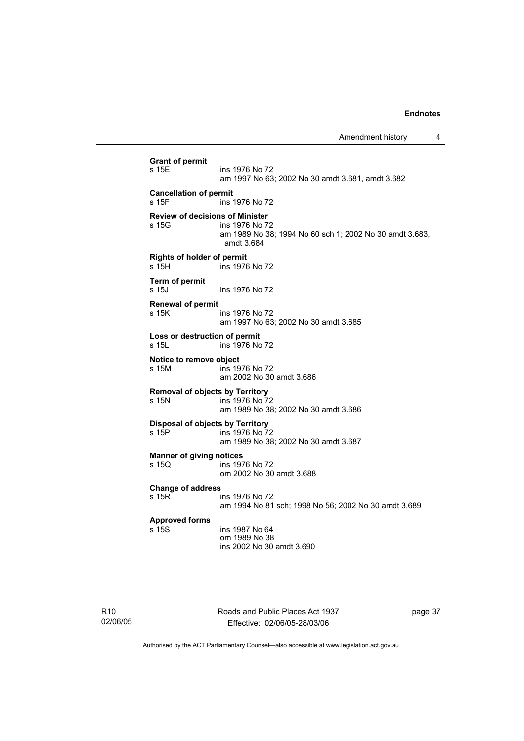**Grant of permit**  s 15E ins 1976 No 72 am 1997 No 63; 2002 No 30 amdt 3.681, amdt 3.682 **Cancellation of permit**  s 15F ins 1976 No 72 **Review of decisions of Minister**  ins 1976 No 72 am 1989 No 38; 1994 No 60 sch 1; 2002 No 30 amdt 3.683, amdt 3.684 **Rights of holder of permit**  s 15H ins 1976 No 72 **Term of permit**  ins 1976 No 72 **Renewal of permit**  s 15K ins 1976 No 72 am 1997 No 63; 2002 No 30 amdt 3.685 **Loss or destruction of permit**  s 15L ins 1976 No 72 **Notice to remove object**  s 15M ins 1976 No 72 am 2002 No 30 amdt 3.686 **Removal of objects by Territory**  ins 1976 No 72 am 1989 No 38; 2002 No 30 amdt 3.686 **Disposal of objects by Territory**  s 15P ins 1976 No 72 am 1989 No 38; 2002 No 30 amdt 3.687 **Manner of giving notices**  s 15Q ins 1976 No 72 om 2002 No 30 amdt 3.688 **Change of address**  ins 1976 No 72 am 1994 No 81 sch; 1998 No 56; 2002 No 30 amdt 3.689 **Approved forms**  ins 1987 No 64 om 1989 No 38 ins 2002 No 30 amdt 3.690

Roads and Public Places Act 1937 Effective: 02/06/05-28/03/06

page 37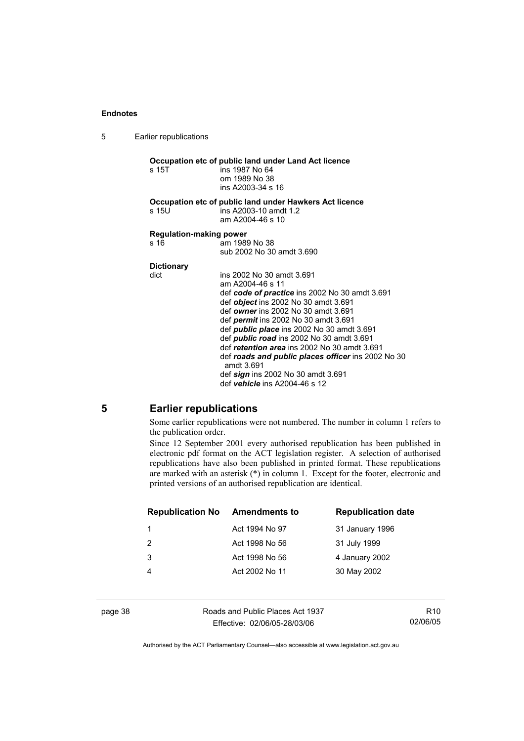5 Earlier republications

**Occupation etc of public land under Land Act licence**  s 15T ins 1987 No 64 om 1989 No 38 ins A2003-34 s 16 **Occupation etc of public land under Hawkers Act licence**  s 15U ins A2003-10 amdt 1.2 am A2004-46 s 10 **Regulation-making power**  am 1989 No 38 sub 2002 No 30 amdt 3.690 **Dictionary**  dict ins 2002 No 30 amdt 3.691 am A2004-46 s 11 def *code of practice* ins 2002 No 30 amdt 3.691 def *object* ins 2002 No 30 amdt 3.691 def *owner* ins 2002 No 30 amdt 3.691 def *permit* ins 2002 No 30 amdt 3.691 def *public place* ins 2002 No 30 amdt 3.691 def *public road* ins 2002 No 30 amdt 3.691 def *retention area* ins 2002 No 30 amdt 3.691 def *roads and public places officer* ins 2002 No 30 amdt 3.691 def *sign* ins 2002 No 30 amdt 3.691 def *vehicle* ins A2004-46 s 12

#### **5 Earlier republications**

Some earlier republications were not numbered. The number in column 1 refers to the publication order.

Since 12 September 2001 every authorised republication has been published in electronic pdf format on the ACT legislation register. A selection of authorised republications have also been published in printed format. These republications are marked with an asterisk (\*) in column 1. Except for the footer, electronic and printed versions of an authorised republication are identical.

| <b>Republication No</b> | <b>Amendments to</b> | <b>Republication date</b> |
|-------------------------|----------------------|---------------------------|
| 1                       | Act 1994 No 97       | 31 January 1996           |
| -2                      | Act 1998 No 56       | 31 July 1999              |
| 3                       | Act 1998 No 56       | 4 January 2002            |
|                         | Act 2002 No 11       | 30 May 2002               |
|                         |                      |                           |

page 38 Roads and Public Places Act 1937 Effective: 02/06/05-28/03/06

R10 02/06/05